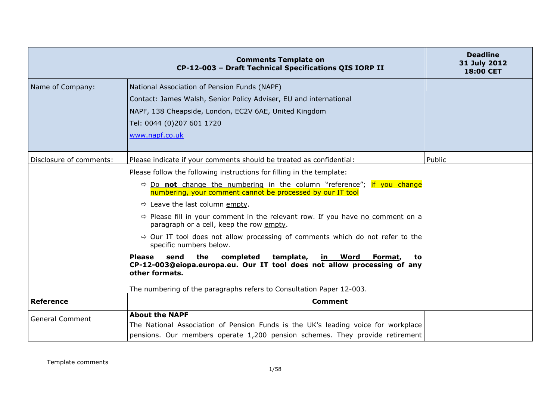|                         | <b>Comments Template on</b><br>CP-12-003 - Draft Technical Specifications QIS IORP II                                                                                                      | <b>Deadline</b><br>31 July 2012<br><b>18:00 CET</b> |
|-------------------------|--------------------------------------------------------------------------------------------------------------------------------------------------------------------------------------------|-----------------------------------------------------|
| Name of Company:        | National Association of Pension Funds (NAPF)                                                                                                                                               |                                                     |
|                         | Contact: James Walsh, Senior Policy Adviser, EU and international                                                                                                                          |                                                     |
|                         | NAPF, 138 Cheapside, London, EC2V 6AE, United Kingdom                                                                                                                                      |                                                     |
|                         | Tel: 0044 (0)207 601 1720                                                                                                                                                                  |                                                     |
|                         | www.napf.co.uk                                                                                                                                                                             |                                                     |
|                         |                                                                                                                                                                                            |                                                     |
| Disclosure of comments: | Please indicate if your comments should be treated as confidential:                                                                                                                        | Public                                              |
|                         | Please follow the following instructions for filling in the template:                                                                                                                      |                                                     |
|                         | $\Rightarrow$ Do not change the numbering in the column "reference"; if you change<br>numbering, your comment cannot be processed by our IT tool                                           |                                                     |
|                         | $\Rightarrow$ Leave the last column empty.                                                                                                                                                 |                                                     |
|                         | $\Rightarrow$ Please fill in your comment in the relevant row. If you have no comment on a<br>paragraph or a cell, keep the row empty.                                                     |                                                     |
|                         | $\Rightarrow$ Our IT tool does not allow processing of comments which do not refer to the<br>specific numbers below.                                                                       |                                                     |
|                         | send<br>the<br>completed<br>template,<br><b>Please</b><br>in Word Format,<br>to<br>CP-12-003@eiopa.europa.eu. Our IT tool does not allow processing of any<br>other formats.               |                                                     |
|                         | The numbering of the paragraphs refers to Consultation Paper 12-003.                                                                                                                       |                                                     |
| <b>Reference</b>        | <b>Comment</b>                                                                                                                                                                             |                                                     |
| <b>General Comment</b>  | <b>About the NAPF</b><br>The National Association of Pension Funds is the UK's leading voice for workplace<br>pensions. Our members operate 1,200 pension schemes. They provide retirement |                                                     |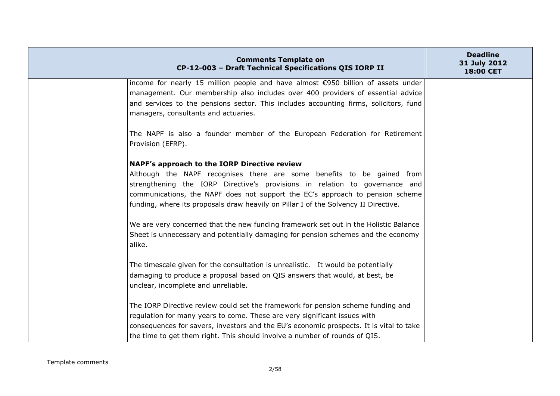| <b>Comments Template on</b><br>CP-12-003 - Draft Technical Specifications QIS IORP II                                         | <b>Deadline</b><br>31 July 2012<br>18:00 CET |
|-------------------------------------------------------------------------------------------------------------------------------|----------------------------------------------|
| income for nearly 15 million people and have almost €950 billion of assets under                                              |                                              |
| management. Our membership also includes over 400 providers of essential advice                                               |                                              |
| and services to the pensions sector. This includes accounting firms, solicitors, fund<br>managers, consultants and actuaries. |                                              |
| The NAPF is also a founder member of the European Federation for Retirement<br>Provision (EFRP).                              |                                              |
| NAPF's approach to the IORP Directive review                                                                                  |                                              |
| Although the NAPF recognises there are some benefits to be gained from                                                        |                                              |
| strengthening the IORP Directive's provisions in relation to governance and                                                   |                                              |
| communications, the NAPF does not support the EC's approach to pension scheme                                                 |                                              |
| funding, where its proposals draw heavily on Pillar I of the Solvency II Directive.                                           |                                              |
| We are very concerned that the new funding framework set out in the Holistic Balance                                          |                                              |
| Sheet is unnecessary and potentially damaging for pension schemes and the economy<br>alike.                                   |                                              |
| The timescale given for the consultation is unrealistic. It would be potentially                                              |                                              |
| damaging to produce a proposal based on QIS answers that would, at best, be                                                   |                                              |
| unclear, incomplete and unreliable.                                                                                           |                                              |
| The IORP Directive review could set the framework for pension scheme funding and                                              |                                              |
| regulation for many years to come. These are very significant issues with                                                     |                                              |
| consequences for savers, investors and the EU's economic prospects. It is vital to take                                       |                                              |
| the time to get them right. This should involve a number of rounds of QIS.                                                    |                                              |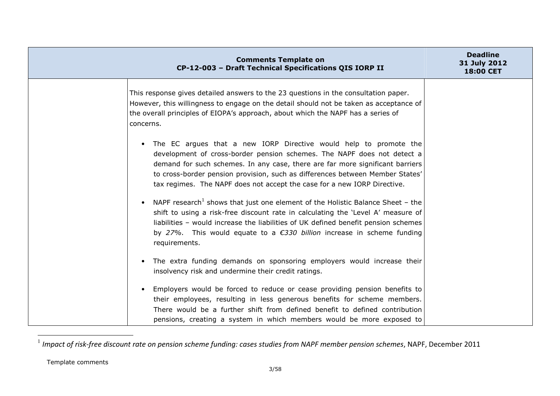| <b>Comments Template on</b><br>CP-12-003 - Draft Technical Specifications QIS IORP II                                                                                                                                                                                                                                                                                                        | <b>Deadline</b><br>31 July 2012<br><b>18:00 CET</b> |
|----------------------------------------------------------------------------------------------------------------------------------------------------------------------------------------------------------------------------------------------------------------------------------------------------------------------------------------------------------------------------------------------|-----------------------------------------------------|
| This response gives detailed answers to the 23 questions in the consultation paper.<br>However, this willingness to engage on the detail should not be taken as acceptance of<br>the overall principles of EIOPA's approach, about which the NAPF has a series of<br>concerns.                                                                                                               |                                                     |
| • The EC argues that a new IORP Directive would help to promote the<br>development of cross-border pension schemes. The NAPF does not detect a<br>demand for such schemes. In any case, there are far more significant barriers<br>to cross-border pension provision, such as differences between Member States'<br>tax regimes. The NAPF does not accept the case for a new IORP Directive. |                                                     |
| NAPF research <sup>1</sup> shows that just one element of the Holistic Balance Sheet - the<br>$\bullet$<br>shift to using a risk-free discount rate in calculating the 'Level A' measure of<br>liabilities - would increase the liabilities of UK defined benefit pension schemes<br>by 27%. This would equate to a $\epsilon$ 330 billion increase in scheme funding<br>requirements.       |                                                     |
| The extra funding demands on sponsoring employers would increase their<br>$\bullet$<br>insolvency risk and undermine their credit ratings.                                                                                                                                                                                                                                                   |                                                     |
| Employers would be forced to reduce or cease providing pension benefits to<br>$\bullet$<br>their employees, resulting in less generous benefits for scheme members.<br>There would be a further shift from defined benefit to defined contribution<br>pensions, creating a system in which members would be more exposed to                                                                  |                                                     |

<sup>1</sup> *Impact of risk-free discount rate on pension scheme funding: cases studies from NAPF member pension schemes*, NAPF, December 2011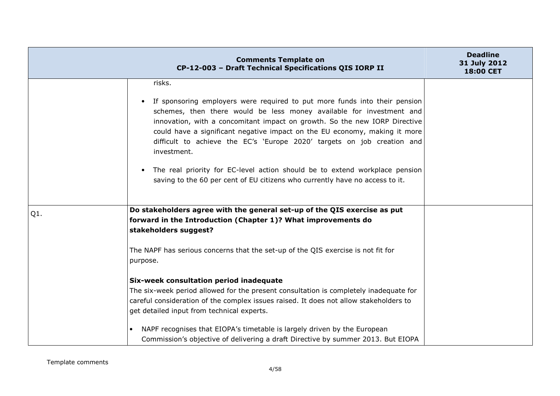|     | <b>Comments Template on</b><br>CP-12-003 - Draft Technical Specifications QIS IORP II                                                                                                                                                                                                                                                                                                                    | <b>Deadline</b><br>31 July 2012<br>18:00 CET |
|-----|----------------------------------------------------------------------------------------------------------------------------------------------------------------------------------------------------------------------------------------------------------------------------------------------------------------------------------------------------------------------------------------------------------|----------------------------------------------|
|     | risks.                                                                                                                                                                                                                                                                                                                                                                                                   |                                              |
|     | If sponsoring employers were required to put more funds into their pension<br>schemes, then there would be less money available for investment and<br>innovation, with a concomitant impact on growth. So the new IORP Directive<br>could have a significant negative impact on the EU economy, making it more<br>difficult to achieve the EC's 'Europe 2020' targets on job creation and<br>investment. |                                              |
|     | The real priority for EC-level action should be to extend workplace pension<br>saving to the 60 per cent of EU citizens who currently have no access to it.                                                                                                                                                                                                                                              |                                              |
| Q1. | Do stakeholders agree with the general set-up of the QIS exercise as put                                                                                                                                                                                                                                                                                                                                 |                                              |
|     | forward in the Introduction (Chapter 1)? What improvements do<br>stakeholders suggest?                                                                                                                                                                                                                                                                                                                   |                                              |
|     | The NAPF has serious concerns that the set-up of the QIS exercise is not fit for<br>purpose.                                                                                                                                                                                                                                                                                                             |                                              |
|     | Six-week consultation period inadequate                                                                                                                                                                                                                                                                                                                                                                  |                                              |
|     | The six-week period allowed for the present consultation is completely inadequate for<br>careful consideration of the complex issues raised. It does not allow stakeholders to<br>get detailed input from technical experts.                                                                                                                                                                             |                                              |
|     | NAPF recognises that EIOPA's timetable is largely driven by the European<br>$\bullet$<br>Commission's objective of delivering a draft Directive by summer 2013. But EIOPA                                                                                                                                                                                                                                |                                              |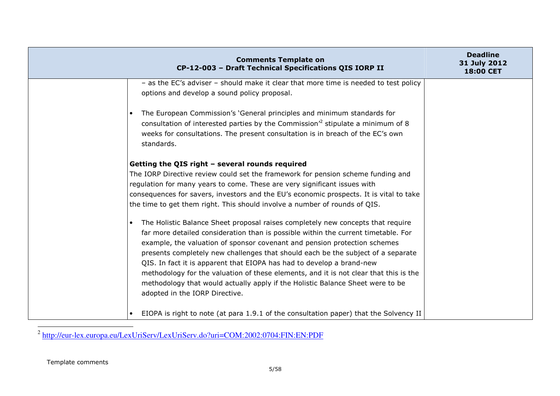| <b>Comments Template on</b><br>CP-12-003 - Draft Technical Specifications QIS IORP II                                                                                                                                                                                                                                                                                                                                                                                                                                                                                                                                        | <b>Deadline</b><br>31 July 2012<br>18:00 CET |
|------------------------------------------------------------------------------------------------------------------------------------------------------------------------------------------------------------------------------------------------------------------------------------------------------------------------------------------------------------------------------------------------------------------------------------------------------------------------------------------------------------------------------------------------------------------------------------------------------------------------------|----------------------------------------------|
| - as the EC's adviser - should make it clear that more time is needed to test policy<br>options and develop a sound policy proposal.                                                                                                                                                                                                                                                                                                                                                                                                                                                                                         |                                              |
| The European Commission's 'General principles and minimum standards for<br>$\bullet$<br>consultation of interested parties by the Commission <sup>'2</sup> stipulate a minimum of 8<br>weeks for consultations. The present consultation is in breach of the EC's own<br>standards.                                                                                                                                                                                                                                                                                                                                          |                                              |
| Getting the QIS right - several rounds required<br>The IORP Directive review could set the framework for pension scheme funding and<br>regulation for many years to come. These are very significant issues with<br>consequences for savers, investors and the EU's economic prospects. It is vital to take<br>the time to get them right. This should involve a number of rounds of QIS.                                                                                                                                                                                                                                    |                                              |
| The Holistic Balance Sheet proposal raises completely new concepts that require<br>far more detailed consideration than is possible within the current timetable. For<br>example, the valuation of sponsor covenant and pension protection schemes<br>presents completely new challenges that should each be the subject of a separate<br>QIS. In fact it is apparent that EIOPA has had to develop a brand-new<br>methodology for the valuation of these elements, and it is not clear that this is the<br>methodology that would actually apply if the Holistic Balance Sheet were to be<br>adopted in the IORP Directive. |                                              |
| EIOPA is right to note (at para 1.9.1 of the consultation paper) that the Solvency II                                                                                                                                                                                                                                                                                                                                                                                                                                                                                                                                        |                                              |

<sup>2</sup> http://eur-lex.europa.eu/LexUriServ/LexUriServ.do?uri=COM:2002:0704:FIN:EN:PDF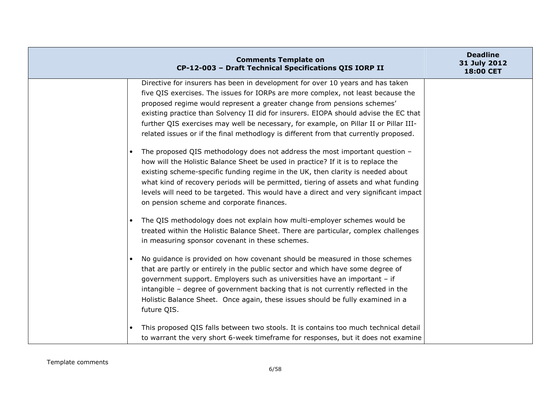| <b>Comments Template on</b><br>CP-12-003 - Draft Technical Specifications QIS IORP II                                                                                                                                                                                                                                                                                                                                                                                                                                                                                                                                                                                                                                                                                                                                                                                                                                                                                                                     | <b>Deadline</b><br>31 July 2012<br>18:00 CET |
|-----------------------------------------------------------------------------------------------------------------------------------------------------------------------------------------------------------------------------------------------------------------------------------------------------------------------------------------------------------------------------------------------------------------------------------------------------------------------------------------------------------------------------------------------------------------------------------------------------------------------------------------------------------------------------------------------------------------------------------------------------------------------------------------------------------------------------------------------------------------------------------------------------------------------------------------------------------------------------------------------------------|----------------------------------------------|
| Directive for insurers has been in development for over 10 years and has taken<br>five QIS exercises. The issues for IORPs are more complex, not least because the<br>proposed regime would represent a greater change from pensions schemes'<br>existing practice than Solvency II did for insurers. EIOPA should advise the EC that<br>further QIS exercises may well be necessary, for example, on Pillar II or Pillar III-<br>related issues or if the final methodlogy is different from that currently proposed.<br>The proposed QIS methodology does not address the most important question -<br>how will the Holistic Balance Sheet be used in practice? If it is to replace the<br>existing scheme-specific funding regime in the UK, then clarity is needed about<br>what kind of recovery periods will be permitted, tiering of assets and what funding<br>levels will need to be targeted. This would have a direct and very significant impact<br>on pension scheme and corporate finances. |                                              |
| The QIS methodology does not explain how multi-employer schemes would be<br>treated within the Holistic Balance Sheet. There are particular, complex challenges<br>in measuring sponsor covenant in these schemes.<br>No guidance is provided on how covenant should be measured in those schemes<br>that are partly or entirely in the public sector and which have some degree of<br>government support. Employers such as universities have an important - if<br>intangible - degree of government backing that is not currently reflected in the<br>Holistic Balance Sheet. Once again, these issues should be fully examined in a<br>future QIS.                                                                                                                                                                                                                                                                                                                                                     |                                              |
| This proposed QIS falls between two stools. It is contains too much technical detail<br>to warrant the very short 6-week timeframe for responses, but it does not examine                                                                                                                                                                                                                                                                                                                                                                                                                                                                                                                                                                                                                                                                                                                                                                                                                                 |                                              |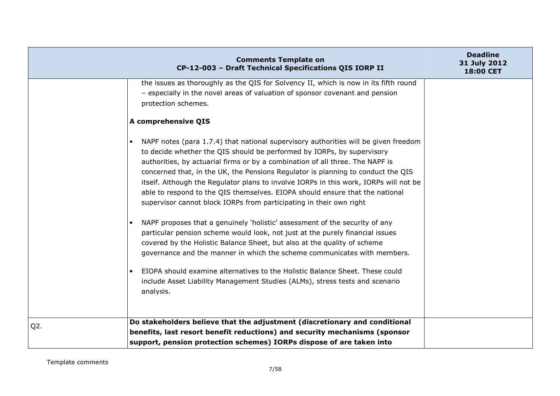|                  | <b>Comments Template on</b><br>CP-12-003 - Draft Technical Specifications QIS IORP II                                                                                                                                                                                                                                                                                                                                                                                                                                                                                                                                                                                                                                                                                                                                                                                                                                                                                                                                                                                                                | <b>Deadline</b><br>31 July 2012<br>18:00 CET |
|------------------|------------------------------------------------------------------------------------------------------------------------------------------------------------------------------------------------------------------------------------------------------------------------------------------------------------------------------------------------------------------------------------------------------------------------------------------------------------------------------------------------------------------------------------------------------------------------------------------------------------------------------------------------------------------------------------------------------------------------------------------------------------------------------------------------------------------------------------------------------------------------------------------------------------------------------------------------------------------------------------------------------------------------------------------------------------------------------------------------------|----------------------------------------------|
|                  | the issues as thoroughly as the QIS for Solvency II, which is now in its fifth round<br>- especially in the novel areas of valuation of sponsor covenant and pension<br>protection schemes.                                                                                                                                                                                                                                                                                                                                                                                                                                                                                                                                                                                                                                                                                                                                                                                                                                                                                                          |                                              |
|                  | A comprehensive QIS                                                                                                                                                                                                                                                                                                                                                                                                                                                                                                                                                                                                                                                                                                                                                                                                                                                                                                                                                                                                                                                                                  |                                              |
|                  | NAPF notes (para 1.7.4) that national supervisory authorities will be given freedom<br>$\bullet$<br>to decide whether the QIS should be performed by IORPs, by supervisory<br>authorities, by actuarial firms or by a combination of all three. The NAPF is<br>concerned that, in the UK, the Pensions Regulator is planning to conduct the QIS<br>itself. Although the Regulator plans to involve IORPs in this work, IORPs will not be<br>able to respond to the QIS themselves. EIOPA should ensure that the national<br>supervisor cannot block IORPs from participating in their own right<br>NAPF proposes that a genuinely 'holistic' assessment of the security of any<br>particular pension scheme would look, not just at the purely financial issues<br>covered by the Holistic Balance Sheet, but also at the quality of scheme<br>governance and the manner in which the scheme communicates with members.<br>EIOPA should examine alternatives to the Holistic Balance Sheet. These could<br>include Asset Liability Management Studies (ALMs), stress tests and scenario<br>analysis. |                                              |
| Q <sub>2</sub> . | Do stakeholders believe that the adjustment (discretionary and conditional                                                                                                                                                                                                                                                                                                                                                                                                                                                                                                                                                                                                                                                                                                                                                                                                                                                                                                                                                                                                                           |                                              |
|                  | benefits, last resort benefit reductions) and security mechanisms (sponsor<br>support, pension protection schemes) IORPs dispose of are taken into                                                                                                                                                                                                                                                                                                                                                                                                                                                                                                                                                                                                                                                                                                                                                                                                                                                                                                                                                   |                                              |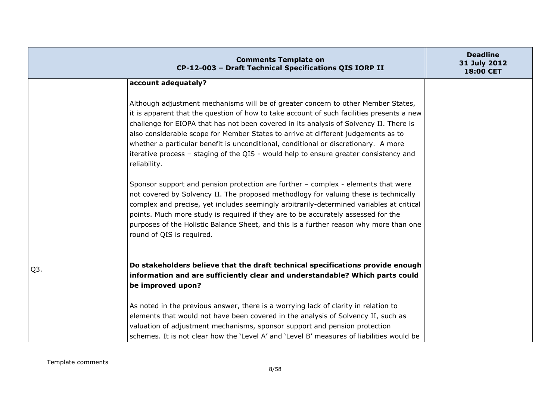|                  | <b>Comments Template on</b><br>CP-12-003 - Draft Technical Specifications QIS IORP II                                                                                                                                                                                                                                                                                                                                                                                                                                                                         | <b>Deadline</b><br>31 July 2012<br><b>18:00 CET</b> |
|------------------|---------------------------------------------------------------------------------------------------------------------------------------------------------------------------------------------------------------------------------------------------------------------------------------------------------------------------------------------------------------------------------------------------------------------------------------------------------------------------------------------------------------------------------------------------------------|-----------------------------------------------------|
|                  | account adequately?                                                                                                                                                                                                                                                                                                                                                                                                                                                                                                                                           |                                                     |
|                  | Although adjustment mechanisms will be of greater concern to other Member States,<br>it is apparent that the question of how to take account of such facilities presents a new<br>challenge for EIOPA that has not been covered in its analysis of Solvency II. There is<br>also considerable scope for Member States to arrive at different judgements as to<br>whether a particular benefit is unconditional, conditional or discretionary. A more<br>iterative process - staging of the QIS - would help to ensure greater consistency and<br>reliability. |                                                     |
|                  | Sponsor support and pension protection are further - complex - elements that were<br>not covered by Solvency II. The proposed methodlogy for valuing these is technically<br>complex and precise, yet includes seemingly arbitrarily-determined variables at critical<br>points. Much more study is required if they are to be accurately assessed for the<br>purposes of the Holistic Balance Sheet, and this is a further reason why more than one<br>round of QIS is required.                                                                             |                                                     |
| Q <sub>3</sub> . | Do stakeholders believe that the draft technical specifications provide enough<br>information and are sufficiently clear and understandable? Which parts could<br>be improved upon?                                                                                                                                                                                                                                                                                                                                                                           |                                                     |
|                  | As noted in the previous answer, there is a worrying lack of clarity in relation to<br>elements that would not have been covered in the analysis of Solvency II, such as<br>valuation of adjustment mechanisms, sponsor support and pension protection<br>schemes. It is not clear how the 'Level A' and 'Level B' measures of liabilities would be                                                                                                                                                                                                           |                                                     |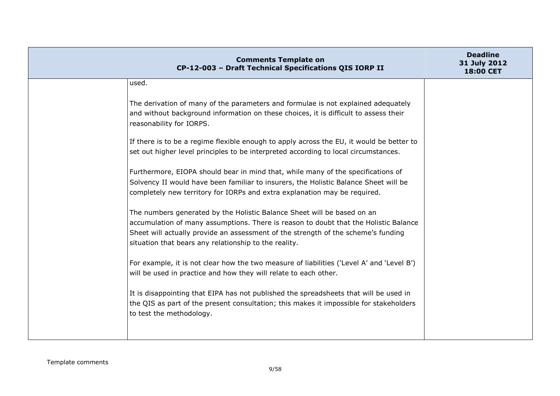| <b>Comments Template on</b><br>CP-12-003 - Draft Technical Specifications QIS IORP II                                                                                                                                                                                                                         | <b>Deadline</b><br>31 July 2012<br>18:00 CET |
|---------------------------------------------------------------------------------------------------------------------------------------------------------------------------------------------------------------------------------------------------------------------------------------------------------------|----------------------------------------------|
| used.                                                                                                                                                                                                                                                                                                         |                                              |
| The derivation of many of the parameters and formulae is not explained adequately<br>and without background information on these choices, it is difficult to assess their<br>reasonability for IORPS.<br>If there is to be a regime flexible enough to apply across the EU, it would be better to             |                                              |
| set out higher level principles to be interpreted according to local circumstances.<br>Furthermore, EIOPA should bear in mind that, while many of the specifications of                                                                                                                                       |                                              |
| Solvency II would have been familiar to insurers, the Holistic Balance Sheet will be<br>completely new territory for IORPs and extra explanation may be required.                                                                                                                                             |                                              |
| The numbers generated by the Holistic Balance Sheet will be based on an<br>accumulation of many assumptions. There is reason to doubt that the Holistic Balance<br>Sheet will actually provide an assessment of the strength of the scheme's funding<br>situation that bears any relationship to the reality. |                                              |
| For example, it is not clear how the two measure of liabilities ('Level A' and 'Level B')<br>will be used in practice and how they will relate to each other.                                                                                                                                                 |                                              |
| It is disappointing that EIPA has not published the spreadsheets that will be used in<br>the QIS as part of the present consultation; this makes it impossible for stakeholders<br>to test the methodology.                                                                                                   |                                              |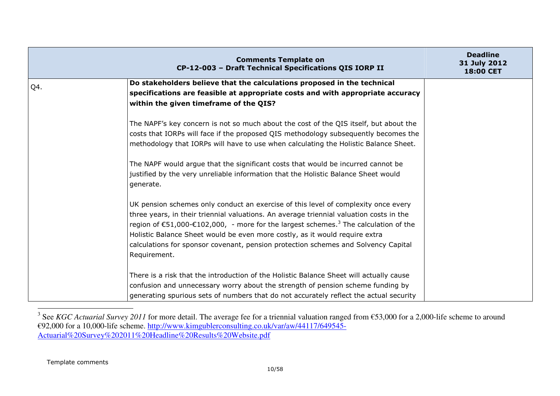|     | <b>Comments Template on</b><br>CP-12-003 - Draft Technical Specifications QIS IORP II                                                                                                                                                                                                                                                                                                                                                                                                      | <b>Deadline</b><br>31 July 2012<br>18:00 CET |
|-----|--------------------------------------------------------------------------------------------------------------------------------------------------------------------------------------------------------------------------------------------------------------------------------------------------------------------------------------------------------------------------------------------------------------------------------------------------------------------------------------------|----------------------------------------------|
| Q4. | Do stakeholders believe that the calculations proposed in the technical<br>specifications are feasible at appropriate costs and with appropriate accuracy<br>within the given timeframe of the QIS?                                                                                                                                                                                                                                                                                        |                                              |
|     | The NAPF's key concern is not so much about the cost of the QIS itself, but about the<br>costs that IORPs will face if the proposed QIS methodology subsequently becomes the<br>methodology that IORPs will have to use when calculating the Holistic Balance Sheet.<br>The NAPF would argue that the significant costs that would be incurred cannot be<br>justified by the very unreliable information that the Holistic Balance Sheet would<br>generate.                                |                                              |
|     | UK pension schemes only conduct an exercise of this level of complexity once every<br>three years, in their triennial valuations. An average triennial valuation costs in the<br>region of $\epsilon$ 51,000- $\epsilon$ 102,000, - more for the largest schemes. <sup>3</sup> The calculation of the<br>Holistic Balance Sheet would be even more costly, as it would require extra<br>calculations for sponsor covenant, pension protection schemes and Solvency Capital<br>Requirement. |                                              |
|     | There is a risk that the introduction of the Holistic Balance Sheet will actually cause<br>confusion and unnecessary worry about the strength of pension scheme funding by<br>generating spurious sets of numbers that do not accurately reflect the actual security                                                                                                                                                                                                                       |                                              |

<sup>&</sup>lt;sup>3</sup> See *KGC Actuarial Survey 2011* for more detail. The average fee for a triennial valuation ranged from €53,000 for a 2,000-life scheme to around €92,000 for a 10,000-life scheme. http://www.kimgublerconsulting.co.uk/v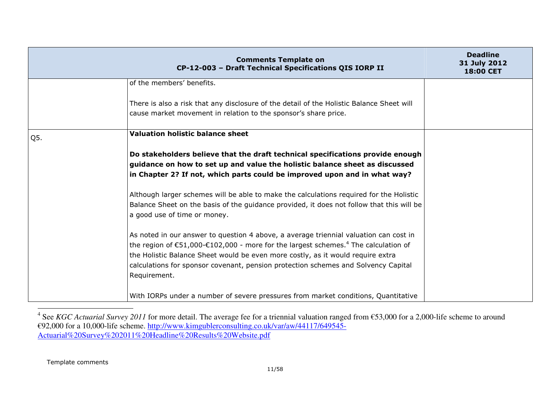|     | <b>Comments Template on</b><br>CP-12-003 - Draft Technical Specifications QIS IORP II                                                                                                                                                                                                                                                                                                                 | <b>Deadline</b><br>31 July 2012<br>18:00 CET |
|-----|-------------------------------------------------------------------------------------------------------------------------------------------------------------------------------------------------------------------------------------------------------------------------------------------------------------------------------------------------------------------------------------------------------|----------------------------------------------|
|     | of the members' benefits.                                                                                                                                                                                                                                                                                                                                                                             |                                              |
|     | There is also a risk that any disclosure of the detail of the Holistic Balance Sheet will<br>cause market movement in relation to the sponsor's share price.                                                                                                                                                                                                                                          |                                              |
| Q5. | <b>Valuation holistic balance sheet</b>                                                                                                                                                                                                                                                                                                                                                               |                                              |
|     | Do stakeholders believe that the draft technical specifications provide enough<br>guidance on how to set up and value the holistic balance sheet as discussed<br>in Chapter 2? If not, which parts could be improved upon and in what way?                                                                                                                                                            |                                              |
|     | Although larger schemes will be able to make the calculations required for the Holistic<br>Balance Sheet on the basis of the guidance provided, it does not follow that this will be<br>a good use of time or money.                                                                                                                                                                                  |                                              |
|     | As noted in our answer to question 4 above, a average triennial valuation can cost in<br>the region of $\epsilon$ 51,000- $\epsilon$ 102,000 - more for the largest schemes. <sup>4</sup> The calculation of<br>the Holistic Balance Sheet would be even more costly, as it would require extra<br>calculations for sponsor covenant, pension protection schemes and Solvency Capital<br>Requirement. |                                              |
|     | With IORPs under a number of severe pressures from market conditions, Quantitative                                                                                                                                                                                                                                                                                                                    |                                              |

<sup>&</sup>lt;sup>4</sup> See *KGC Actuarial Survey 2011* for more detail. The average fee for a triennial valuation ranged from €53,000 for a 2,000-life scheme to around €92,000 for a 10,000-life scheme. http://www.kimgublerconsulting.co.uk/v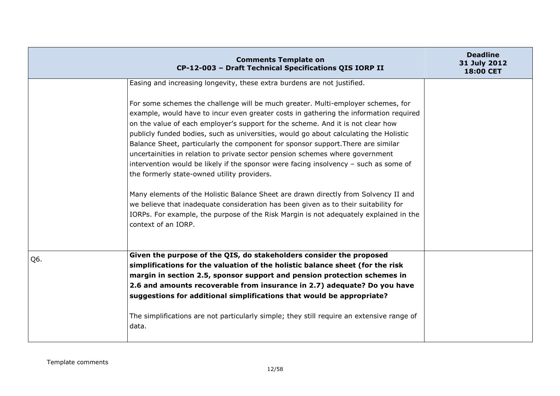|     | <b>Comments Template on</b><br>CP-12-003 - Draft Technical Specifications QIS IORP II                                                                                                                                                                                                                                                                                                                                                                                                                                                                                                                 | <b>Deadline</b><br>31 July 2012<br>18:00 CET |
|-----|-------------------------------------------------------------------------------------------------------------------------------------------------------------------------------------------------------------------------------------------------------------------------------------------------------------------------------------------------------------------------------------------------------------------------------------------------------------------------------------------------------------------------------------------------------------------------------------------------------|----------------------------------------------|
|     | Easing and increasing longevity, these extra burdens are not justified.<br>For some schemes the challenge will be much greater. Multi-employer schemes, for<br>example, would have to incur even greater costs in gathering the information required<br>on the value of each employer's support for the scheme. And it is not clear how<br>publicly funded bodies, such as universities, would go about calculating the Holistic<br>Balance Sheet, particularly the component for sponsor support. There are similar<br>uncertainities in relation to private sector pension schemes where government |                                              |
|     | intervention would be likely if the sponsor were facing insolvency - such as some of<br>the formerly state-owned utility providers.<br>Many elements of the Holistic Balance Sheet are drawn directly from Solvency II and<br>we believe that inadequate consideration has been given as to their suitability for<br>IORPs. For example, the purpose of the Risk Margin is not adequately explained in the<br>context of an IORP.                                                                                                                                                                     |                                              |
| Q6. | Given the purpose of the QIS, do stakeholders consider the proposed<br>simplifications for the valuation of the holistic balance sheet (for the risk<br>margin in section 2.5, sponsor support and pension protection schemes in<br>2.6 and amounts recoverable from insurance in 2.7) adequate? Do you have<br>suggestions for additional simplifications that would be appropriate?<br>The simplifications are not particularly simple; they still require an extensive range of<br>data.                                                                                                           |                                              |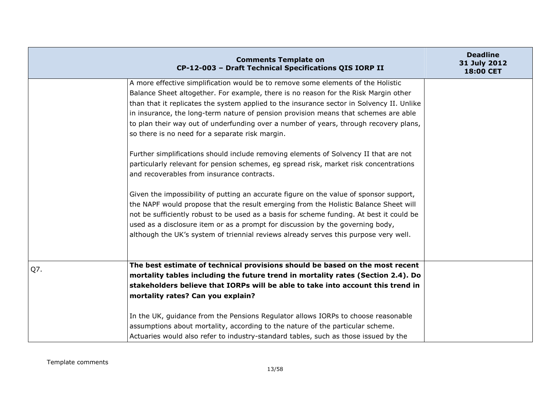|     | <b>Comments Template on</b><br>CP-12-003 - Draft Technical Specifications QIS IORP II     | <b>Deadline</b><br>31 July 2012<br>18:00 CET |
|-----|-------------------------------------------------------------------------------------------|----------------------------------------------|
|     | A more effective simplification would be to remove some elements of the Holistic          |                                              |
|     | Balance Sheet altogether. For example, there is no reason for the Risk Margin other       |                                              |
|     | than that it replicates the system applied to the insurance sector in Solvency II. Unlike |                                              |
|     | in insurance, the long-term nature of pension provision means that schemes are able       |                                              |
|     | to plan their way out of underfunding over a number of years, through recovery plans,     |                                              |
|     | so there is no need for a separate risk margin.                                           |                                              |
|     | Further simplifications should include removing elements of Solvency II that are not      |                                              |
|     | particularly relevant for pension schemes, eg spread risk, market risk concentrations     |                                              |
|     | and recoverables from insurance contracts.                                                |                                              |
|     | Given the impossibility of putting an accurate figure on the value of sponsor support,    |                                              |
|     | the NAPF would propose that the result emerging from the Holistic Balance Sheet will      |                                              |
|     | not be sufficiently robust to be used as a basis for scheme funding. At best it could be  |                                              |
|     | used as a disclosure item or as a prompt for discussion by the governing body,            |                                              |
|     | although the UK's system of triennial reviews already serves this purpose very well.      |                                              |
|     |                                                                                           |                                              |
| Q7. | The best estimate of technical provisions should be based on the most recent              |                                              |
|     | mortality tables including the future trend in mortality rates (Section 2.4). Do          |                                              |
|     | stakeholders believe that IORPs will be able to take into account this trend in           |                                              |
|     | mortality rates? Can you explain?                                                         |                                              |
|     | In the UK, guidance from the Pensions Regulator allows IORPs to choose reasonable         |                                              |
|     | assumptions about mortality, according to the nature of the particular scheme.            |                                              |
|     | Actuaries would also refer to industry-standard tables, such as those issued by the       |                                              |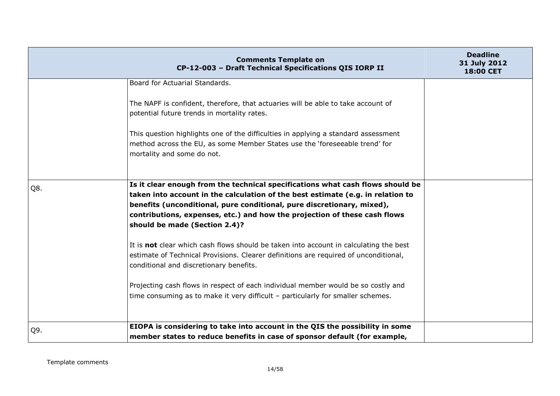|     | <b>Comments Template on</b><br>CP-12-003 - Draft Technical Specifications QIS IORP II                                                                                                                                                                                                                                                                     | <b>Deadline</b><br>31 July 2012<br><b>18:00 CET</b> |
|-----|-----------------------------------------------------------------------------------------------------------------------------------------------------------------------------------------------------------------------------------------------------------------------------------------------------------------------------------------------------------|-----------------------------------------------------|
|     | Board for Actuarial Standards.                                                                                                                                                                                                                                                                                                                            |                                                     |
|     | The NAPF is confident, therefore, that actuaries will be able to take account of<br>potential future trends in mortality rates.                                                                                                                                                                                                                           |                                                     |
|     | This question highlights one of the difficulties in applying a standard assessment<br>method across the EU, as some Member States use the 'foreseeable trend' for<br>mortality and some do not.                                                                                                                                                           |                                                     |
| Q8. | Is it clear enough from the technical specifications what cash flows should be<br>taken into account in the calculation of the best estimate (e.g. in relation to<br>benefits (unconditional, pure conditional, pure discretionary, mixed),<br>contributions, expenses, etc.) and how the projection of these cash flows<br>should be made (Section 2.4)? |                                                     |
|     | It is <b>not</b> clear which cash flows should be taken into account in calculating the best<br>estimate of Technical Provisions. Clearer definitions are required of unconditional,<br>conditional and discretionary benefits.                                                                                                                           |                                                     |
|     | Projecting cash flows in respect of each individual member would be so costly and<br>time consuming as to make it very difficult - particularly for smaller schemes.                                                                                                                                                                                      |                                                     |
| Q9. | EIOPA is considering to take into account in the QIS the possibility in some                                                                                                                                                                                                                                                                              |                                                     |
|     | member states to reduce benefits in case of sponsor default (for example,                                                                                                                                                                                                                                                                                 |                                                     |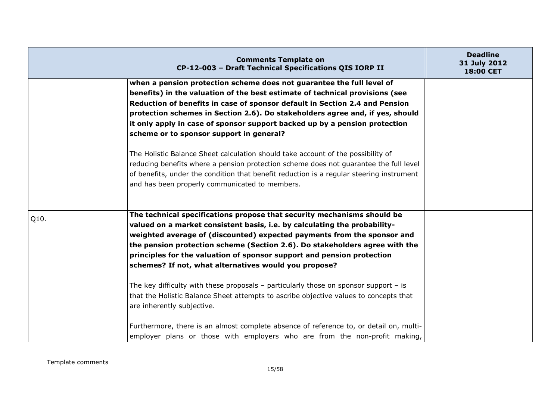|      | <b>Comments Template on</b><br>CP-12-003 - Draft Technical Specifications QIS IORP II                                                                                                                                                                                                                                                                                                                                                             | <b>Deadline</b><br>31 July 2012<br>18:00 CET |
|------|---------------------------------------------------------------------------------------------------------------------------------------------------------------------------------------------------------------------------------------------------------------------------------------------------------------------------------------------------------------------------------------------------------------------------------------------------|----------------------------------------------|
|      | when a pension protection scheme does not guarantee the full level of<br>benefits) in the valuation of the best estimate of technical provisions (see<br>Reduction of benefits in case of sponsor default in Section 2.4 and Pension<br>protection schemes in Section 2.6). Do stakeholders agree and, if yes, should<br>it only apply in case of sponsor support backed up by a pension protection<br>scheme or to sponsor support in general?   |                                              |
|      | The Holistic Balance Sheet calculation should take account of the possibility of<br>reducing benefits where a pension protection scheme does not guarantee the full level<br>of benefits, under the condition that benefit reduction is a regular steering instrument<br>and has been properly communicated to members.                                                                                                                           |                                              |
| Q10. | The technical specifications propose that security mechanisms should be<br>valued on a market consistent basis, i.e. by calculating the probability-<br>weighted average of (discounted) expected payments from the sponsor and<br>the pension protection scheme (Section 2.6). Do stakeholders agree with the<br>principles for the valuation of sponsor support and pension protection<br>schemes? If not, what alternatives would you propose? |                                              |
|      | The key difficulty with these proposals $-$ particularly those on sponsor support $-$ is<br>that the Holistic Balance Sheet attempts to ascribe objective values to concepts that<br>are inherently subjective.<br>Furthermore, there is an almost complete absence of reference to, or detail on, multi-<br>employer plans or those with employers who are from the non-profit making,                                                           |                                              |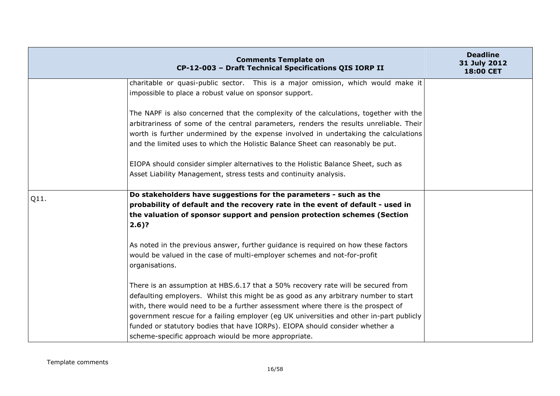|      | <b>Comments Template on</b><br>CP-12-003 - Draft Technical Specifications QIS IORP II                                                                                                                                                                                                                                                                     | <b>Deadline</b><br>31 July 2012<br>18:00 CET |
|------|-----------------------------------------------------------------------------------------------------------------------------------------------------------------------------------------------------------------------------------------------------------------------------------------------------------------------------------------------------------|----------------------------------------------|
|      | charitable or quasi-public sector. This is a major omission, which would make it                                                                                                                                                                                                                                                                          |                                              |
|      | impossible to place a robust value on sponsor support.                                                                                                                                                                                                                                                                                                    |                                              |
|      | The NAPF is also concerned that the complexity of the calculations, together with the<br>arbitrariness of some of the central parameters, renders the results unreliable. Their<br>worth is further undermined by the expense involved in undertaking the calculations<br>and the limited uses to which the Holistic Balance Sheet can reasonably be put. |                                              |
|      | EIOPA should consider simpler alternatives to the Holistic Balance Sheet, such as<br>Asset Liability Management, stress tests and continuity analysis.                                                                                                                                                                                                    |                                              |
| Q11. | Do stakeholders have suggestions for the parameters - such as the                                                                                                                                                                                                                                                                                         |                                              |
|      | probability of default and the recovery rate in the event of default - used in                                                                                                                                                                                                                                                                            |                                              |
|      | the valuation of sponsor support and pension protection schemes (Section<br>$2.6$ ?                                                                                                                                                                                                                                                                       |                                              |
|      | As noted in the previous answer, further guidance is required on how these factors<br>would be valued in the case of multi-employer schemes and not-for-profit<br>organisations.                                                                                                                                                                          |                                              |
|      | There is an assumption at HBS.6.17 that a 50% recovery rate will be secured from<br>defaulting employers. Whilst this might be as good as any arbitrary number to start<br>with, there would need to be a further assessment where there is the prospect of                                                                                               |                                              |
|      | government rescue for a failing employer (eg UK universities and other in-part publicly                                                                                                                                                                                                                                                                   |                                              |
|      | funded or statutory bodies that have IORPs). EIOPA should consider whether a                                                                                                                                                                                                                                                                              |                                              |
|      | scheme-specific approach wiould be more appropriate.                                                                                                                                                                                                                                                                                                      |                                              |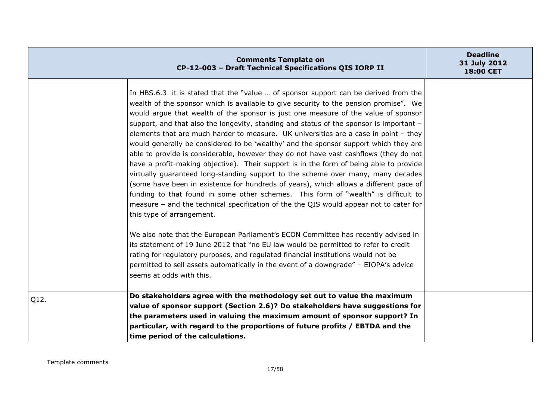|      | <b>Comments Template on</b><br>CP-12-003 - Draft Technical Specifications QIS IORP II                                                                                                                                                                                                                                                                                                                                                                                                                                                                                                                                                                                                                                                                                                                                                                                                                                                                                                                                                                                                                                                                                                                                                                                                                                                                                                                                                                                                                             | <b>Deadline</b><br>31 July 2012<br><b>18:00 CET</b> |
|------|-------------------------------------------------------------------------------------------------------------------------------------------------------------------------------------------------------------------------------------------------------------------------------------------------------------------------------------------------------------------------------------------------------------------------------------------------------------------------------------------------------------------------------------------------------------------------------------------------------------------------------------------------------------------------------------------------------------------------------------------------------------------------------------------------------------------------------------------------------------------------------------------------------------------------------------------------------------------------------------------------------------------------------------------------------------------------------------------------------------------------------------------------------------------------------------------------------------------------------------------------------------------------------------------------------------------------------------------------------------------------------------------------------------------------------------------------------------------------------------------------------------------|-----------------------------------------------------|
|      | In HBS.6.3. it is stated that the "value  of sponsor support can be derived from the<br>wealth of the sponsor which is available to give security to the pension promise". We<br>would argue that wealth of the sponsor is just one measure of the value of sponsor<br>support, and that also the longevity, standing and status of the sponsor is important -<br>elements that are much harder to measure. UK universities are a case in point - they<br>would generally be considered to be 'wealthy' and the sponsor support which they are<br>able to provide is considerable, however they do not have vast cashflows (they do not<br>have a profit-making objective). Their support is in the form of being able to provide<br>virtually guaranteed long-standing support to the scheme over many, many decades<br>(some have been in existence for hundreds of years), which allows a different pace of<br>funding to that found in some other schemes. This form of "wealth" is difficult to<br>measure - and the technical specification of the the QIS would appear not to cater for<br>this type of arrangement.<br>We also note that the European Parliament's ECON Committee has recently advised in<br>its statement of 19 June 2012 that "no EU law would be permitted to refer to credit<br>rating for regulatory purposes, and regulated financial institutions would not be<br>permitted to sell assets automatically in the event of a downgrade" - EIOPA's advice<br>seems at odds with this. |                                                     |
| Q12. | Do stakeholders agree with the methodology set out to value the maximum<br>value of sponsor support (Section 2.6)? Do stakeholders have suggestions for<br>the parameters used in valuing the maximum amount of sponsor support? In<br>particular, with regard to the proportions of future profits / EBTDA and the<br>time period of the calculations.                                                                                                                                                                                                                                                                                                                                                                                                                                                                                                                                                                                                                                                                                                                                                                                                                                                                                                                                                                                                                                                                                                                                                           |                                                     |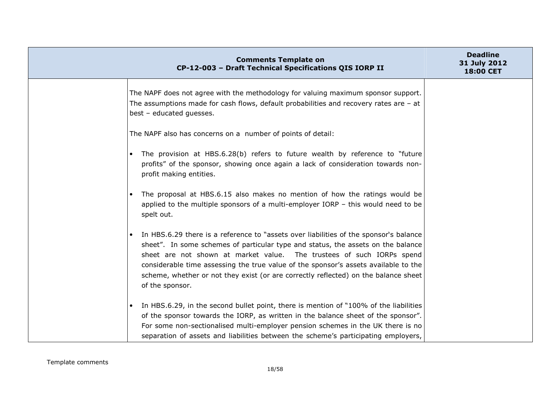|           | <b>Comments Template on</b><br>CP-12-003 - Draft Technical Specifications QIS IORP II                                                                                                                                                                                                                                                                                                                                                               | <b>Deadline</b><br>31 July 2012<br><b>18:00 CET</b> |
|-----------|-----------------------------------------------------------------------------------------------------------------------------------------------------------------------------------------------------------------------------------------------------------------------------------------------------------------------------------------------------------------------------------------------------------------------------------------------------|-----------------------------------------------------|
|           | The NAPF does not agree with the methodology for valuing maximum sponsor support.<br>The assumptions made for cash flows, default probabilities and recovery rates are - at<br>best - educated guesses.                                                                                                                                                                                                                                             |                                                     |
|           | The NAPF also has concerns on a number of points of detail:                                                                                                                                                                                                                                                                                                                                                                                         |                                                     |
|           | The provision at HBS.6.28(b) refers to future wealth by reference to "future<br>profits" of the sponsor, showing once again a lack of consideration towards non-<br>profit making entities.                                                                                                                                                                                                                                                         |                                                     |
| $\bullet$ | The proposal at HBS.6.15 also makes no mention of how the ratings would be<br>applied to the multiple sponsors of a multi-employer IORP $-$ this would need to be<br>spelt out.                                                                                                                                                                                                                                                                     |                                                     |
| $\bullet$ | In HBS.6.29 there is a reference to "assets over liabilities of the sponsor's balance<br>sheet". In some schemes of particular type and status, the assets on the balance<br>sheet are not shown at market value. The trustees of such IORPs spend<br>considerable time assessing the true value of the sponsor's assets available to the<br>scheme, whether or not they exist (or are correctly reflected) on the balance sheet<br>of the sponsor. |                                                     |
| $\bullet$ | In HBS.6.29, in the second bullet point, there is mention of "100% of the liabilities<br>of the sponsor towards the IORP, as written in the balance sheet of the sponsor".<br>For some non-sectionalised multi-employer pension schemes in the UK there is no<br>separation of assets and liabilities between the scheme's participating employers,                                                                                                 |                                                     |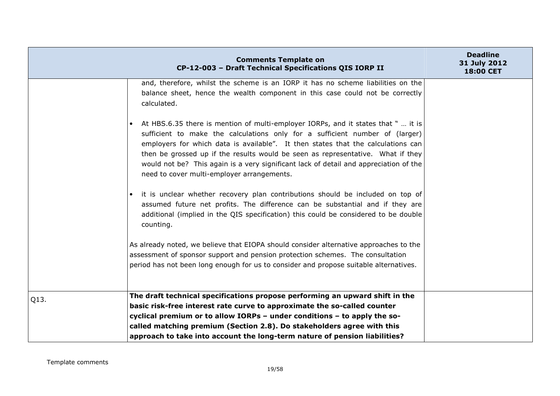|      | <b>Comments Template on</b><br>CP-12-003 - Draft Technical Specifications QIS IORP II                                                                                                                                                                                                                                                                                                                                                                                           | <b>Deadline</b><br>31 July 2012<br>18:00 CET |
|------|---------------------------------------------------------------------------------------------------------------------------------------------------------------------------------------------------------------------------------------------------------------------------------------------------------------------------------------------------------------------------------------------------------------------------------------------------------------------------------|----------------------------------------------|
|      | and, therefore, whilst the scheme is an IORP it has no scheme liabilities on the<br>balance sheet, hence the wealth component in this case could not be correctly<br>calculated.                                                                                                                                                                                                                                                                                                |                                              |
|      | At HBS.6.35 there is mention of multi-employer IORPs, and it states that "  it is<br>sufficient to make the calculations only for a sufficient number of (larger)<br>employers for which data is available". It then states that the calculations can<br>then be grossed up if the results would be seen as representative. What if they<br>would not be? This again is a very significant lack of detail and appreciation of the<br>need to cover multi-employer arrangements. |                                              |
|      | it is unclear whether recovery plan contributions should be included on top of<br>assumed future net profits. The difference can be substantial and if they are<br>additional (implied in the QIS specification) this could be considered to be double<br>counting.                                                                                                                                                                                                             |                                              |
|      | As already noted, we believe that EIOPA should consider alternative approaches to the<br>assessment of sponsor support and pension protection schemes. The consultation<br>period has not been long enough for us to consider and propose suitable alternatives.                                                                                                                                                                                                                |                                              |
| Q13. | The draft technical specifications propose performing an upward shift in the                                                                                                                                                                                                                                                                                                                                                                                                    |                                              |
|      | basic risk-free interest rate curve to approximate the so-called counter                                                                                                                                                                                                                                                                                                                                                                                                        |                                              |
|      | cyclical premium or to allow IORPs - under conditions - to apply the so-                                                                                                                                                                                                                                                                                                                                                                                                        |                                              |
|      | called matching premium (Section 2.8). Do stakeholders agree with this                                                                                                                                                                                                                                                                                                                                                                                                          |                                              |
|      | approach to take into account the long-term nature of pension liabilities?                                                                                                                                                                                                                                                                                                                                                                                                      |                                              |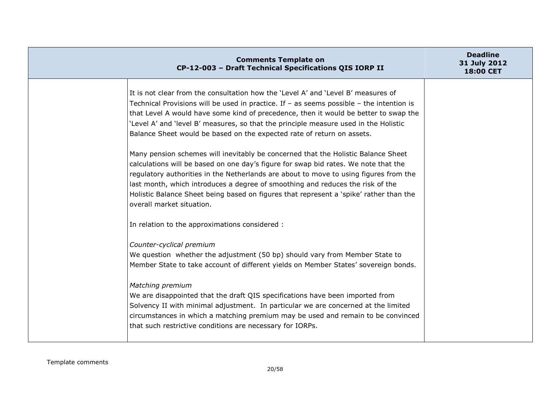| <b>Comments Template on</b><br>CP-12-003 - Draft Technical Specifications QIS IORP II                                                                                                                                                                                                                                                                                                                                                                                                                                                                                                                                                                                                                                                                                                                                                                                                                                     | <b>Deadline</b><br>31 July 2012<br><b>18:00 CET</b> |
|---------------------------------------------------------------------------------------------------------------------------------------------------------------------------------------------------------------------------------------------------------------------------------------------------------------------------------------------------------------------------------------------------------------------------------------------------------------------------------------------------------------------------------------------------------------------------------------------------------------------------------------------------------------------------------------------------------------------------------------------------------------------------------------------------------------------------------------------------------------------------------------------------------------------------|-----------------------------------------------------|
| It is not clear from the consultation how the 'Level A' and 'Level B' measures of<br>Technical Provisions will be used in practice. If $-$ as seems possible $-$ the intention is<br>that Level A would have some kind of precedence, then it would be better to swap the<br>'Level A' and 'level B' measures, so that the principle measure used in the Holistic<br>Balance Sheet would be based on the expected rate of return on assets.<br>Many pension schemes will inevitably be concerned that the Holistic Balance Sheet<br>calculations will be based on one day's figure for swap bid rates. We note that the<br>regulatory authorities in the Netherlands are about to move to using figures from the<br>last month, which introduces a degree of smoothing and reduces the risk of the<br>Holistic Balance Sheet being based on figures that represent a 'spike' rather than the<br>overall market situation. |                                                     |
| In relation to the approximations considered :                                                                                                                                                                                                                                                                                                                                                                                                                                                                                                                                                                                                                                                                                                                                                                                                                                                                            |                                                     |
| Counter-cyclical premium<br>We question whether the adjustment (50 bp) should vary from Member State to<br>Member State to take account of different yields on Member States' sovereign bonds.<br>Matching premium<br>We are disappointed that the draft QIS specifications have been imported from<br>Solvency II with minimal adjustment. In particular we are concerned at the limited<br>circumstances in which a matching premium may be used and remain to be convinced<br>that such restrictive conditions are necessary for IORPs.                                                                                                                                                                                                                                                                                                                                                                                |                                                     |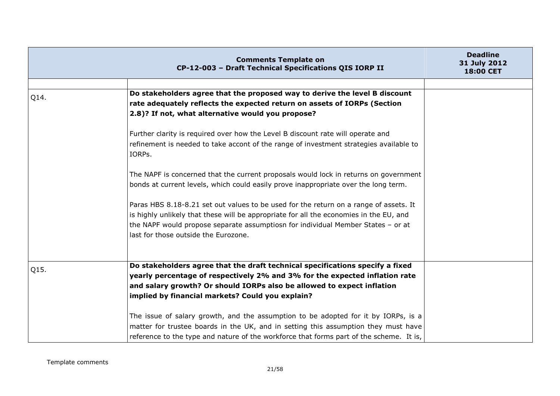|      | <b>Comments Template on</b><br>CP-12-003 - Draft Technical Specifications QIS IORP II                                                                                                                                                                                                                       | <b>Deadline</b><br>31 July 2012<br><b>18:00 CET</b> |
|------|-------------------------------------------------------------------------------------------------------------------------------------------------------------------------------------------------------------------------------------------------------------------------------------------------------------|-----------------------------------------------------|
|      |                                                                                                                                                                                                                                                                                                             |                                                     |
| Q14. | Do stakeholders agree that the proposed way to derive the level B discount<br>rate adequately reflects the expected return on assets of IORPs (Section<br>2.8)? If not, what alternative would you propose?                                                                                                 |                                                     |
|      | Further clarity is required over how the Level B discount rate will operate and<br>refinement is needed to take accont of the range of investment strategies available to<br>IORPs.                                                                                                                         |                                                     |
|      | The NAPF is concerned that the current proposals would lock in returns on government<br>bonds at current levels, which could easily prove inappropriate over the long term.                                                                                                                                 |                                                     |
|      | Paras HBS 8.18-8.21 set out values to be used for the return on a range of assets. It<br>is highly unlikely that these will be appropriate for all the economies in the EU, and<br>the NAPF would propose separate assumptiosn for individual Member States - or at<br>last for those outside the Eurozone. |                                                     |
| Q15. | Do stakeholders agree that the draft technical specifications specify a fixed<br>yearly percentage of respectively 2% and 3% for the expected inflation rate<br>and salary growth? Or should IORPs also be allowed to expect inflation<br>implied by financial markets? Could you explain?                  |                                                     |
|      | The issue of salary growth, and the assumption to be adopted for it by IORPs, is a<br>matter for trustee boards in the UK, and in setting this assumption they must have<br>reference to the type and nature of the workforce that forms part of the scheme. It is,                                         |                                                     |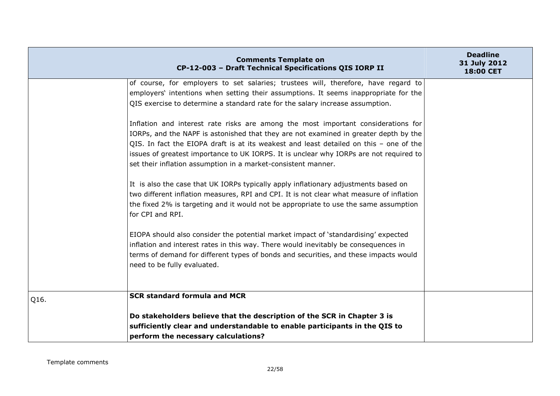|      | <b>Comments Template on</b><br>CP-12-003 - Draft Technical Specifications QIS IORP II                                                                                                                                                                                                                                                                                                                                          | <b>Deadline</b><br>31 July 2012<br><b>18:00 CET</b> |
|------|--------------------------------------------------------------------------------------------------------------------------------------------------------------------------------------------------------------------------------------------------------------------------------------------------------------------------------------------------------------------------------------------------------------------------------|-----------------------------------------------------|
|      | of course, for employers to set salaries; trustees will, therefore, have regard to<br>employers' intentions when setting their assumptions. It seems inappropriate for the<br>QIS exercise to determine a standard rate for the salary increase assumption.                                                                                                                                                                    |                                                     |
|      | Inflation and interest rate risks are among the most important considerations for<br>IORPs, and the NAPF is astonished that they are not examined in greater depth by the<br>QIS. In fact the EIOPA draft is at its weakest and least detailed on this - one of the<br>issues of greatest importance to UK IORPS. It is unclear why IORPs are not required to<br>set their inflation assumption in a market-consistent manner. |                                                     |
|      | It is also the case that UK IORPs typically apply inflationary adjustments based on<br>two different inflation measures, RPI and CPI. It is not clear what measure of inflation<br>the fixed 2% is targeting and it would not be appropriate to use the same assumption<br>for CPI and RPI.                                                                                                                                    |                                                     |
|      | EIOPA should also consider the potential market impact of 'standardising' expected<br>inflation and interest rates in this way. There would inevitably be consequences in<br>terms of demand for different types of bonds and securities, and these impacts would<br>need to be fully evaluated.                                                                                                                               |                                                     |
| Q16. | <b>SCR standard formula and MCR</b>                                                                                                                                                                                                                                                                                                                                                                                            |                                                     |
|      | Do stakeholders believe that the description of the SCR in Chapter 3 is<br>sufficiently clear and understandable to enable participants in the QIS to<br>perform the necessary calculations?                                                                                                                                                                                                                                   |                                                     |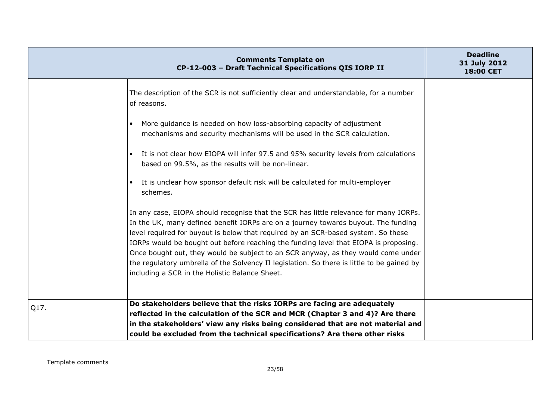|      | <b>Comments Template on</b><br>CP-12-003 - Draft Technical Specifications QIS IORP II                                                                                                                                                                                                                                                                                                                                                         | <b>Deadline</b><br>31 July 2012<br>18:00 CET |
|------|-----------------------------------------------------------------------------------------------------------------------------------------------------------------------------------------------------------------------------------------------------------------------------------------------------------------------------------------------------------------------------------------------------------------------------------------------|----------------------------------------------|
|      | The description of the SCR is not sufficiently clear and understandable, for a number<br>of reasons.                                                                                                                                                                                                                                                                                                                                          |                                              |
|      | More guidance is needed on how loss-absorbing capacity of adjustment<br>$\bullet$<br>mechanisms and security mechanisms will be used in the SCR calculation.                                                                                                                                                                                                                                                                                  |                                              |
|      | It is not clear how EIOPA will infer 97.5 and 95% security levels from calculations<br>$\bullet$<br>based on 99.5%, as the results will be non-linear.                                                                                                                                                                                                                                                                                        |                                              |
|      | It is unclear how sponsor default risk will be calculated for multi-employer<br>$\bullet$<br>schemes.                                                                                                                                                                                                                                                                                                                                         |                                              |
|      | In any case, EIOPA should recognise that the SCR has little relevance for many IORPs.<br>In the UK, many defined benefit IORPs are on a journey towards buyout. The funding<br>level required for buyout is below that required by an SCR-based system. So these<br>IORPs would be bought out before reaching the funding level that EIOPA is proposing.<br>Once bought out, they would be subject to an SCR anyway, as they would come under |                                              |
|      | the regulatory umbrella of the Solvency II legislation. So there is little to be gained by<br>including a SCR in the Holistic Balance Sheet.                                                                                                                                                                                                                                                                                                  |                                              |
| Q17. | Do stakeholders believe that the risks IORPs are facing are adequately                                                                                                                                                                                                                                                                                                                                                                        |                                              |
|      | reflected in the calculation of the SCR and MCR (Chapter 3 and 4)? Are there                                                                                                                                                                                                                                                                                                                                                                  |                                              |
|      | in the stakeholders' view any risks being considered that are not material and                                                                                                                                                                                                                                                                                                                                                                |                                              |
|      | could be excluded from the technical specifications? Are there other risks                                                                                                                                                                                                                                                                                                                                                                    |                                              |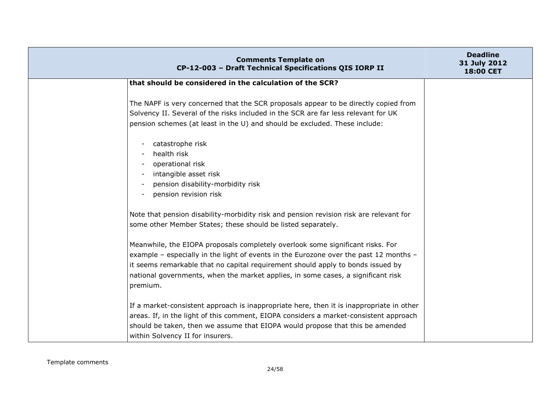| <b>Comments Template on</b><br>CP-12-003 - Draft Technical Specifications QIS IORP II                                                                                                                                                                                                                                                                      | <b>Deadline</b><br>31 July 2012<br>18:00 CET |
|------------------------------------------------------------------------------------------------------------------------------------------------------------------------------------------------------------------------------------------------------------------------------------------------------------------------------------------------------------|----------------------------------------------|
| that should be considered in the calculation of the SCR?                                                                                                                                                                                                                                                                                                   |                                              |
| The NAPF is very concerned that the SCR proposals appear to be directly copied from<br>Solvency II. Several of the risks included in the SCR are far less relevant for UK<br>pension schemes (at least in the U) and should be excluded. These include:                                                                                                    |                                              |
| catastrophe risk<br>health risk<br>operational risk<br>intangible asset risk<br>pension disability-morbidity risk<br>pension revision risk<br>$\overline{\phantom{a}}$                                                                                                                                                                                     |                                              |
| Note that pension disability-morbidity risk and pension revision risk are relevant for<br>some other Member States; these should be listed separately.                                                                                                                                                                                                     |                                              |
| Meanwhile, the EIOPA proposals completely overlook some significant risks. For<br>example - especially in the light of events in the Eurozone over the past 12 months -<br>it seems remarkable that no capital requirement should apply to bonds issued by<br>national governments, when the market applies, in some cases, a significant risk<br>premium. |                                              |
| If a market-consistent approach is inappropriate here, then it is inappropriate in other<br>areas. If, in the light of this comment, EIOPA considers a market-consistent approach<br>should be taken, then we assume that EIOPA would propose that this be amended<br>within Solvency II for insurers.                                                     |                                              |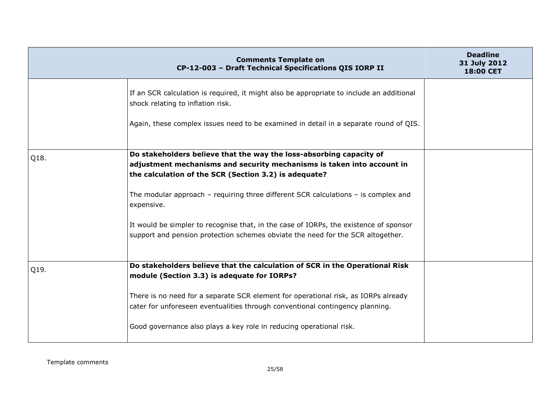|      | <b>Comments Template on</b><br>CP-12-003 - Draft Technical Specifications QIS IORP II                                         | <b>Deadline</b><br>31 July 2012<br>18:00 CET |
|------|-------------------------------------------------------------------------------------------------------------------------------|----------------------------------------------|
|      | If an SCR calculation is required, it might also be appropriate to include an additional<br>shock relating to inflation risk. |                                              |
|      | Again, these complex issues need to be examined in detail in a separate round of QIS.                                         |                                              |
|      | Do stakeholders believe that the way the loss-absorbing capacity of                                                           |                                              |
| Q18. | adjustment mechanisms and security mechanisms is taken into account in                                                        |                                              |
|      | the calculation of the SCR (Section 3.2) is adequate?                                                                         |                                              |
|      |                                                                                                                               |                                              |
|      | The modular approach – requiring three different SCR calculations – is complex and<br>expensive.                              |                                              |
|      | It would be simpler to recognise that, in the case of IORPs, the existence of sponsor                                         |                                              |
|      | support and pension protection schemes obviate the need for the SCR altogether.                                               |                                              |
|      |                                                                                                                               |                                              |
|      | Do stakeholders believe that the calculation of SCR in the Operational Risk                                                   |                                              |
| Q19. | module (Section 3.3) is adequate for IORPs?                                                                                   |                                              |
|      |                                                                                                                               |                                              |
|      | There is no need for a separate SCR element for operational risk, as IORPs already                                            |                                              |
|      | cater for unforeseen eventualities through conventional contingency planning.                                                 |                                              |
|      |                                                                                                                               |                                              |
|      | Good governance also plays a key role in reducing operational risk.                                                           |                                              |
|      |                                                                                                                               |                                              |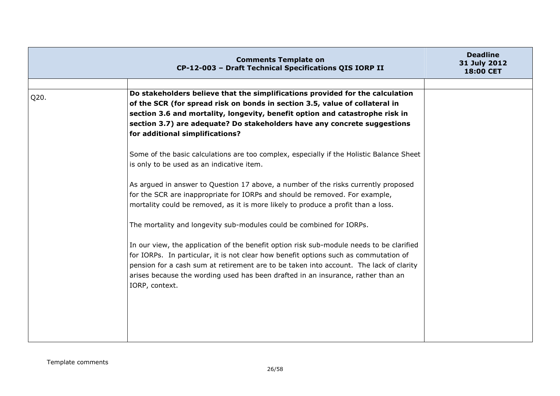|      | <b>Comments Template on</b><br>CP-12-003 - Draft Technical Specifications QIS IORP II                                                                        | <b>Deadline</b><br>31 July 2012<br>18:00 CET |
|------|--------------------------------------------------------------------------------------------------------------------------------------------------------------|----------------------------------------------|
|      |                                                                                                                                                              |                                              |
| Q20. | Do stakeholders believe that the simplifications provided for the calculation<br>of the SCR (for spread risk on bonds in section 3.5, value of collateral in |                                              |
|      | section 3.6 and mortality, longevity, benefit option and catastrophe risk in                                                                                 |                                              |
|      | section 3.7) are adequate? Do stakeholders have any concrete suggestions                                                                                     |                                              |
|      | for additional simplifications?                                                                                                                              |                                              |
|      |                                                                                                                                                              |                                              |
|      | Some of the basic calculations are too complex, especially if the Holistic Balance Sheet<br>is only to be used as an indicative item.                        |                                              |
|      |                                                                                                                                                              |                                              |
|      | As argued in answer to Question 17 above, a number of the risks currently proposed                                                                           |                                              |
|      | for the SCR are inappropriate for IORPs and should be removed. For example,                                                                                  |                                              |
|      | mortality could be removed, as it is more likely to produce a profit than a loss.                                                                            |                                              |
|      | The mortality and longevity sub-modules could be combined for IORPs.                                                                                         |                                              |
|      | In our view, the application of the benefit option risk sub-module needs to be clarified                                                                     |                                              |
|      | for IORPs. In particular, it is not clear how benefit options such as commutation of                                                                         |                                              |
|      | pension for a cash sum at retirement are to be taken into account. The lack of clarity                                                                       |                                              |
|      | arises because the wording used has been drafted in an insurance, rather than an                                                                             |                                              |
|      | IORP, context.                                                                                                                                               |                                              |
|      |                                                                                                                                                              |                                              |
|      |                                                                                                                                                              |                                              |
|      |                                                                                                                                                              |                                              |
|      |                                                                                                                                                              |                                              |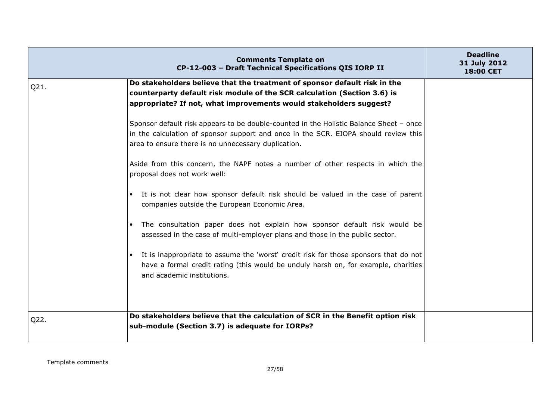|      | <b>Comments Template on</b><br>CP-12-003 - Draft Technical Specifications QIS IORP II                                                                                                                                                | <b>Deadline</b><br>31 July 2012<br>18:00 CET |
|------|--------------------------------------------------------------------------------------------------------------------------------------------------------------------------------------------------------------------------------------|----------------------------------------------|
| Q21. | Do stakeholders believe that the treatment of sponsor default risk in the<br>counterparty default risk module of the SCR calculation (Section 3.6) is<br>appropriate? If not, what improvements would stakeholders suggest?          |                                              |
|      | Sponsor default risk appears to be double-counted in the Holistic Balance Sheet - once<br>in the calculation of sponsor support and once in the SCR. EIOPA should review this<br>area to ensure there is no unnecessary duplication. |                                              |
|      | Aside from this concern, the NAPF notes a number of other respects in which the<br>proposal does not work well:                                                                                                                      |                                              |
|      | It is not clear how sponsor default risk should be valued in the case of parent<br>$\bullet$<br>companies outside the European Economic Area.                                                                                        |                                              |
|      | The consultation paper does not explain how sponsor default risk would be<br>assessed in the case of multi-employer plans and those in the public sector.                                                                            |                                              |
|      | It is inappropriate to assume the 'worst' credit risk for those sponsors that do not<br>have a formal credit rating (this would be unduly harsh on, for example, charities<br>and academic institutions.                             |                                              |
| Q22. | Do stakeholders believe that the calculation of SCR in the Benefit option risk<br>sub-module (Section 3.7) is adequate for IORPs?                                                                                                    |                                              |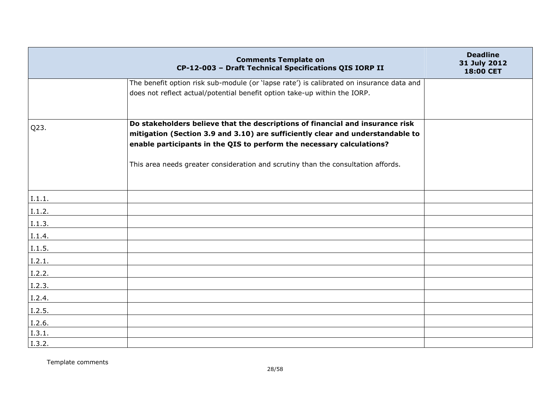|        | <b>Comments Template on</b><br>CP-12-003 - Draft Technical Specifications QIS IORP II                                                                           | <b>Deadline</b><br>31 July 2012<br>18:00 CET |
|--------|-----------------------------------------------------------------------------------------------------------------------------------------------------------------|----------------------------------------------|
|        | The benefit option risk sub-module (or 'lapse rate') is calibrated on insurance data and                                                                        |                                              |
|        | does not reflect actual/potential benefit option take-up within the IORP.                                                                                       |                                              |
|        |                                                                                                                                                                 |                                              |
| Q23.   | Do stakeholders believe that the descriptions of financial and insurance risk<br>mitigation (Section 3.9 and 3.10) are sufficiently clear and understandable to |                                              |
|        | enable participants in the QIS to perform the necessary calculations?                                                                                           |                                              |
|        | This area needs greater consideration and scrutiny than the consultation affords.                                                                               |                                              |
| I.1.1. |                                                                                                                                                                 |                                              |
| I.1.2. |                                                                                                                                                                 |                                              |
| I.1.3. |                                                                                                                                                                 |                                              |
| I.1.4. |                                                                                                                                                                 |                                              |
| I.1.5. |                                                                                                                                                                 |                                              |
| I.2.1. |                                                                                                                                                                 |                                              |
| I.2.2. |                                                                                                                                                                 |                                              |
| I.2.3. |                                                                                                                                                                 |                                              |
| I.2.4. |                                                                                                                                                                 |                                              |
| I.2.5. |                                                                                                                                                                 |                                              |
| I.2.6. |                                                                                                                                                                 |                                              |
| I.3.1. |                                                                                                                                                                 |                                              |
| I.3.2. |                                                                                                                                                                 |                                              |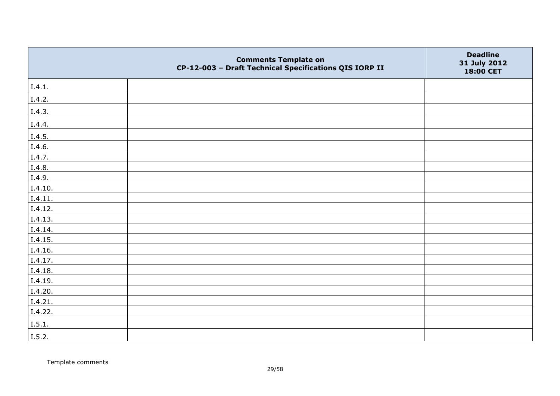|         | <b>Comments Template on</b><br>CP-12-003 - Draft Technical Specifications QIS IORP II | <b>Deadline</b><br>31 July 2012<br>18:00 CET |
|---------|---------------------------------------------------------------------------------------|----------------------------------------------|
| I.4.1.  |                                                                                       |                                              |
| I.4.2.  |                                                                                       |                                              |
| I.4.3.  |                                                                                       |                                              |
| I.4.4.  |                                                                                       |                                              |
| I.4.5.  |                                                                                       |                                              |
| I.4.6.  |                                                                                       |                                              |
| I.4.7.  |                                                                                       |                                              |
| I.4.8.  |                                                                                       |                                              |
| I.4.9.  |                                                                                       |                                              |
| I.4.10. |                                                                                       |                                              |
| I.4.11. |                                                                                       |                                              |
| I.4.12. |                                                                                       |                                              |
| I.4.13. |                                                                                       |                                              |
| I.4.14. |                                                                                       |                                              |
| I.4.15. |                                                                                       |                                              |
| I.4.16. |                                                                                       |                                              |
| I.4.17. |                                                                                       |                                              |
| I.4.18. |                                                                                       |                                              |
| I.4.19. |                                                                                       |                                              |
| I.4.20. |                                                                                       |                                              |
| I.4.21. |                                                                                       |                                              |
| I.4.22. |                                                                                       |                                              |
| I.5.1.  |                                                                                       |                                              |
| I.5.2.  |                                                                                       |                                              |

Template comments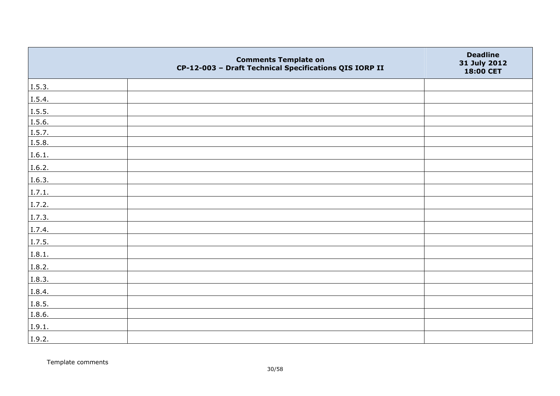|        | <b>Comments Template on</b><br>CP-12-003 - Draft Technical Specifications QIS IORP II | <b>Deadline</b><br>31 July 2012<br>18:00 CET |
|--------|---------------------------------------------------------------------------------------|----------------------------------------------|
| I.5.3. |                                                                                       |                                              |
| I.5.4. |                                                                                       |                                              |
| 1.5.5. |                                                                                       |                                              |
| I.5.6. |                                                                                       |                                              |
| I.5.7. |                                                                                       |                                              |
| I.5.8. |                                                                                       |                                              |
| I.6.1. |                                                                                       |                                              |
| I.6.2. |                                                                                       |                                              |
| I.6.3. |                                                                                       |                                              |
| I.7.1. |                                                                                       |                                              |
| I.7.2. |                                                                                       |                                              |
| I.7.3. |                                                                                       |                                              |
| I.7.4. |                                                                                       |                                              |
| I.7.5. |                                                                                       |                                              |
| I.8.1. |                                                                                       |                                              |
| I.8.2. |                                                                                       |                                              |
| I.8.3. |                                                                                       |                                              |
| I.8.4. |                                                                                       |                                              |
| I.8.5. |                                                                                       |                                              |
| I.8.6. |                                                                                       |                                              |
| I.9.1. |                                                                                       |                                              |
| I.9.2. |                                                                                       |                                              |

Template comments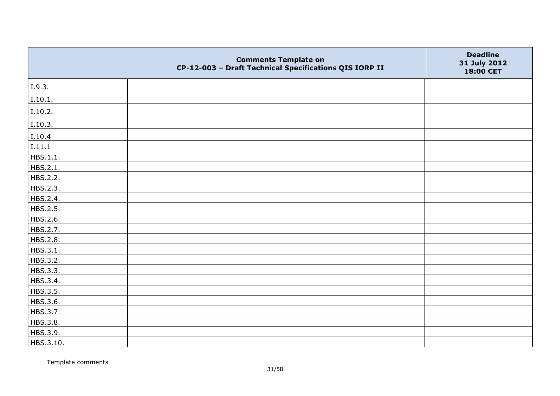|           | <b>Comments Template on</b><br>CP-12-003 - Draft Technical Specifications QIS IORP II | <b>Deadline</b><br>31 July 2012<br>18:00 CET |
|-----------|---------------------------------------------------------------------------------------|----------------------------------------------|
| I.9.3.    |                                                                                       |                                              |
| I.10.1.   |                                                                                       |                                              |
| I.10.2.   |                                                                                       |                                              |
| I.10.3.   |                                                                                       |                                              |
| I.10.4    |                                                                                       |                                              |
| I.11.1    |                                                                                       |                                              |
| HBS.1.1.  |                                                                                       |                                              |
| HBS.2.1.  |                                                                                       |                                              |
| HBS.2.2.  |                                                                                       |                                              |
| HBS.2.3.  |                                                                                       |                                              |
| HBS.2.4.  |                                                                                       |                                              |
| HBS.2.5.  |                                                                                       |                                              |
| HBS.2.6.  |                                                                                       |                                              |
| HBS.2.7.  |                                                                                       |                                              |
| HBS.2.8.  |                                                                                       |                                              |
| HBS.3.1.  |                                                                                       |                                              |
| HBS.3.2.  |                                                                                       |                                              |
| HBS.3.3.  |                                                                                       |                                              |
| HBS.3.4.  |                                                                                       |                                              |
| HBS.3.5.  |                                                                                       |                                              |
| HBS.3.6.  |                                                                                       |                                              |
| HBS.3.7.  |                                                                                       |                                              |
| HBS.3.8.  |                                                                                       |                                              |
| HBS.3.9.  |                                                                                       |                                              |
| HBS.3.10. |                                                                                       |                                              |

Template comments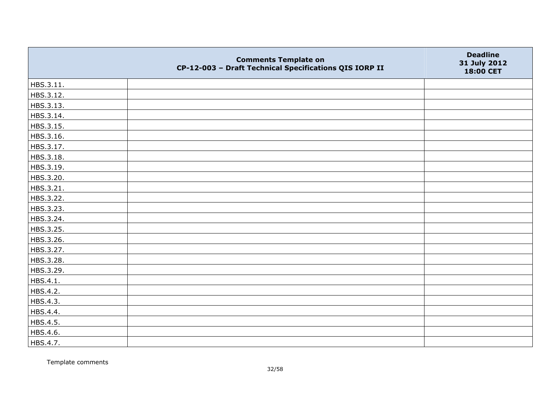|           | <b>Comments Template on</b><br>CP-12-003 - Draft Technical Specifications QIS IORP II | <b>Deadline</b><br>31 July 2012<br>18:00 CET |
|-----------|---------------------------------------------------------------------------------------|----------------------------------------------|
| HBS.3.11. |                                                                                       |                                              |
| HBS.3.12. |                                                                                       |                                              |
| HBS.3.13. |                                                                                       |                                              |
| HBS.3.14. |                                                                                       |                                              |
| HBS.3.15. |                                                                                       |                                              |
| HBS.3.16. |                                                                                       |                                              |
| HBS.3.17. |                                                                                       |                                              |
| HBS.3.18. |                                                                                       |                                              |
| HBS.3.19. |                                                                                       |                                              |
| HBS.3.20. |                                                                                       |                                              |
| HBS.3.21. |                                                                                       |                                              |
| HBS.3.22. |                                                                                       |                                              |
| HBS.3.23. |                                                                                       |                                              |
| HBS.3.24. |                                                                                       |                                              |
| HBS.3.25. |                                                                                       |                                              |
| HBS.3.26. |                                                                                       |                                              |
| HBS.3.27. |                                                                                       |                                              |
| HBS.3.28. |                                                                                       |                                              |
| HBS.3.29. |                                                                                       |                                              |
| HBS.4.1.  |                                                                                       |                                              |
| HBS.4.2.  |                                                                                       |                                              |
| HBS.4.3.  |                                                                                       |                                              |
| HBS.4.4.  |                                                                                       |                                              |
| HBS.4.5.  |                                                                                       |                                              |
| HBS.4.6.  |                                                                                       |                                              |
| HBS.4.7.  |                                                                                       |                                              |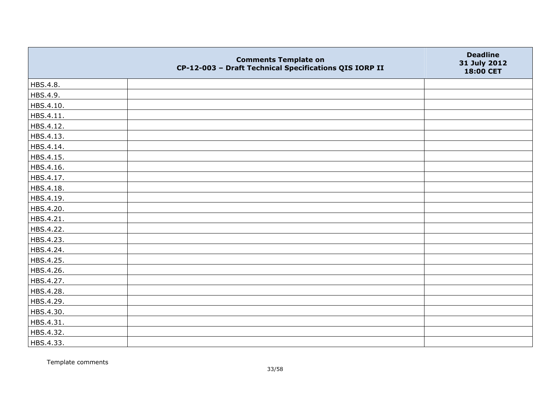|           | <b>Comments Template on</b><br>CP-12-003 - Draft Technical Specifications QIS IORP II | <b>Deadline</b><br>31 July 2012<br>18:00 CET |
|-----------|---------------------------------------------------------------------------------------|----------------------------------------------|
| HBS.4.8.  |                                                                                       |                                              |
| HBS.4.9.  |                                                                                       |                                              |
| HBS.4.10. |                                                                                       |                                              |
| HBS.4.11. |                                                                                       |                                              |
| HBS.4.12. |                                                                                       |                                              |
| HBS.4.13. |                                                                                       |                                              |
| HBS.4.14. |                                                                                       |                                              |
| HBS.4.15. |                                                                                       |                                              |
| HBS.4.16. |                                                                                       |                                              |
| HBS.4.17. |                                                                                       |                                              |
| HBS.4.18. |                                                                                       |                                              |
| HBS.4.19. |                                                                                       |                                              |
| HBS.4.20. |                                                                                       |                                              |
| HBS.4.21. |                                                                                       |                                              |
| HBS.4.22. |                                                                                       |                                              |
| HBS.4.23. |                                                                                       |                                              |
| HBS.4.24. |                                                                                       |                                              |
| HBS.4.25. |                                                                                       |                                              |
| HBS.4.26. |                                                                                       |                                              |
| HBS.4.27. |                                                                                       |                                              |
| HBS.4.28. |                                                                                       |                                              |
| HBS.4.29. |                                                                                       |                                              |
| HBS.4.30. |                                                                                       |                                              |
| HBS.4.31. |                                                                                       |                                              |
| HBS.4.32. |                                                                                       |                                              |
| HBS.4.33. |                                                                                       |                                              |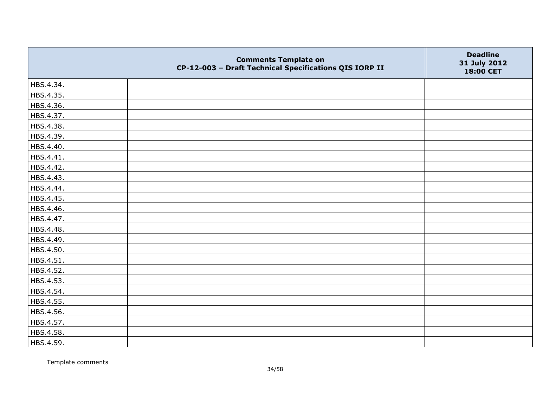|           | <b>Comments Template on</b><br>CP-12-003 - Draft Technical Specifications QIS IORP II | <b>Deadline</b><br>31 July 2012<br>18:00 CET |
|-----------|---------------------------------------------------------------------------------------|----------------------------------------------|
| HBS.4.34. |                                                                                       |                                              |
| HBS.4.35. |                                                                                       |                                              |
| HBS.4.36. |                                                                                       |                                              |
| HBS.4.37. |                                                                                       |                                              |
| HBS.4.38. |                                                                                       |                                              |
| HBS.4.39. |                                                                                       |                                              |
| HBS.4.40. |                                                                                       |                                              |
| HBS.4.41. |                                                                                       |                                              |
| HBS.4.42. |                                                                                       |                                              |
| HBS.4.43. |                                                                                       |                                              |
| HBS.4.44. |                                                                                       |                                              |
| HBS.4.45. |                                                                                       |                                              |
| HBS.4.46. |                                                                                       |                                              |
| HBS.4.47. |                                                                                       |                                              |
| HBS.4.48. |                                                                                       |                                              |
| HBS.4.49. |                                                                                       |                                              |
| HBS.4.50. |                                                                                       |                                              |
| HBS.4.51. |                                                                                       |                                              |
| HBS.4.52. |                                                                                       |                                              |
| HBS.4.53. |                                                                                       |                                              |
| HBS.4.54. |                                                                                       |                                              |
| HBS.4.55. |                                                                                       |                                              |
| HBS.4.56. |                                                                                       |                                              |
| HBS.4.57. |                                                                                       |                                              |
| HBS.4.58. |                                                                                       |                                              |
| HBS.4.59. |                                                                                       |                                              |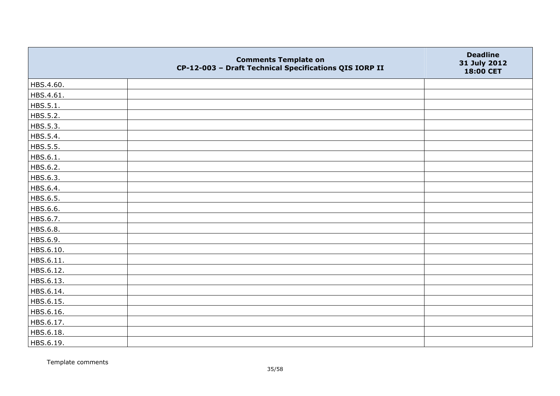|           | <b>Comments Template on</b><br>CP-12-003 - Draft Technical Specifications QIS IORP II | <b>Deadline</b><br>31 July 2012<br>18:00 CET |
|-----------|---------------------------------------------------------------------------------------|----------------------------------------------|
| HBS.4.60. |                                                                                       |                                              |
| HBS.4.61. |                                                                                       |                                              |
| HBS.5.1.  |                                                                                       |                                              |
| HBS.5.2.  |                                                                                       |                                              |
| HBS.5.3.  |                                                                                       |                                              |
| HBS.5.4.  |                                                                                       |                                              |
| HBS.5.5.  |                                                                                       |                                              |
| HBS.6.1.  |                                                                                       |                                              |
| HBS.6.2.  |                                                                                       |                                              |
| HBS.6.3.  |                                                                                       |                                              |
| HBS.6.4.  |                                                                                       |                                              |
| HBS.6.5.  |                                                                                       |                                              |
| HBS.6.6.  |                                                                                       |                                              |
| HBS.6.7.  |                                                                                       |                                              |
| HBS.6.8.  |                                                                                       |                                              |
| HBS.6.9.  |                                                                                       |                                              |
| HBS.6.10. |                                                                                       |                                              |
| HBS.6.11. |                                                                                       |                                              |
| HBS.6.12. |                                                                                       |                                              |
| HBS.6.13. |                                                                                       |                                              |
| HBS.6.14. |                                                                                       |                                              |
| HBS.6.15. |                                                                                       |                                              |
| HBS.6.16. |                                                                                       |                                              |
| HBS.6.17. |                                                                                       |                                              |
| HBS.6.18. |                                                                                       |                                              |
| HBS.6.19. |                                                                                       |                                              |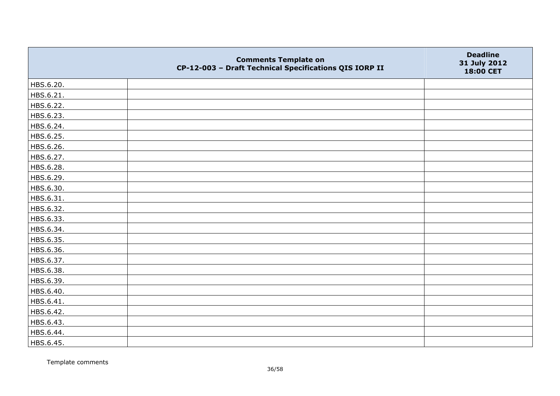|           | <b>Comments Template on</b><br>CP-12-003 - Draft Technical Specifications QIS IORP II | <b>Deadline</b><br>31 July 2012<br>18:00 CET |
|-----------|---------------------------------------------------------------------------------------|----------------------------------------------|
| HBS.6.20. |                                                                                       |                                              |
| HBS.6.21. |                                                                                       |                                              |
| HBS.6.22. |                                                                                       |                                              |
| HBS.6.23. |                                                                                       |                                              |
| HBS.6.24. |                                                                                       |                                              |
| HBS.6.25. |                                                                                       |                                              |
| HBS.6.26. |                                                                                       |                                              |
| HBS.6.27. |                                                                                       |                                              |
| HBS.6.28. |                                                                                       |                                              |
| HBS.6.29. |                                                                                       |                                              |
| HBS.6.30. |                                                                                       |                                              |
| HBS.6.31. |                                                                                       |                                              |
| HBS.6.32. |                                                                                       |                                              |
| HBS.6.33. |                                                                                       |                                              |
| HBS.6.34. |                                                                                       |                                              |
| HBS.6.35. |                                                                                       |                                              |
| HBS.6.36. |                                                                                       |                                              |
| HBS.6.37. |                                                                                       |                                              |
| HBS.6.38. |                                                                                       |                                              |
| HBS.6.39. |                                                                                       |                                              |
| HBS.6.40. |                                                                                       |                                              |
| HBS.6.41. |                                                                                       |                                              |
| HBS.6.42. |                                                                                       |                                              |
| HBS.6.43. |                                                                                       |                                              |
| HBS.6.44. |                                                                                       |                                              |
| HBS.6.45. |                                                                                       |                                              |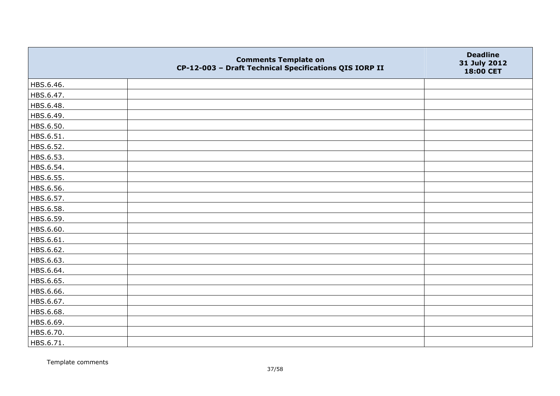|           | <b>Comments Template on</b><br>CP-12-003 - Draft Technical Specifications QIS IORP II | <b>Deadline</b><br>31 July 2012<br>18:00 CET |
|-----------|---------------------------------------------------------------------------------------|----------------------------------------------|
| HBS.6.46. |                                                                                       |                                              |
| HBS.6.47. |                                                                                       |                                              |
| HBS.6.48. |                                                                                       |                                              |
| HBS.6.49. |                                                                                       |                                              |
| HBS.6.50. |                                                                                       |                                              |
| HBS.6.51. |                                                                                       |                                              |
| HBS.6.52. |                                                                                       |                                              |
| HBS.6.53. |                                                                                       |                                              |
| HBS.6.54. |                                                                                       |                                              |
| HBS.6.55. |                                                                                       |                                              |
| HBS.6.56. |                                                                                       |                                              |
| HBS.6.57. |                                                                                       |                                              |
| HBS.6.58. |                                                                                       |                                              |
| HBS.6.59. |                                                                                       |                                              |
| HBS.6.60. |                                                                                       |                                              |
| HBS.6.61. |                                                                                       |                                              |
| HBS.6.62. |                                                                                       |                                              |
| HBS.6.63. |                                                                                       |                                              |
| HBS.6.64. |                                                                                       |                                              |
| HBS.6.65. |                                                                                       |                                              |
| HBS.6.66. |                                                                                       |                                              |
| HBS.6.67. |                                                                                       |                                              |
| HBS.6.68. |                                                                                       |                                              |
| HBS.6.69. |                                                                                       |                                              |
| HBS.6.70. |                                                                                       |                                              |
| HBS.6.71. |                                                                                       |                                              |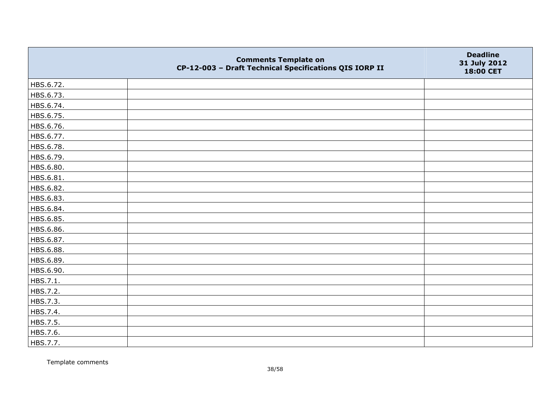|           | <b>Comments Template on</b><br>CP-12-003 - Draft Technical Specifications QIS IORP II | <b>Deadline</b><br>31 July 2012<br>18:00 CET |
|-----------|---------------------------------------------------------------------------------------|----------------------------------------------|
| HBS.6.72. |                                                                                       |                                              |
| HBS.6.73. |                                                                                       |                                              |
| HBS.6.74. |                                                                                       |                                              |
| HBS.6.75. |                                                                                       |                                              |
| HBS.6.76. |                                                                                       |                                              |
| HBS.6.77. |                                                                                       |                                              |
| HBS.6.78. |                                                                                       |                                              |
| HBS.6.79. |                                                                                       |                                              |
| HBS.6.80. |                                                                                       |                                              |
| HBS.6.81. |                                                                                       |                                              |
| HBS.6.82. |                                                                                       |                                              |
| HBS.6.83. |                                                                                       |                                              |
| HBS.6.84. |                                                                                       |                                              |
| HBS.6.85. |                                                                                       |                                              |
| HBS.6.86. |                                                                                       |                                              |
| HBS.6.87. |                                                                                       |                                              |
| HBS.6.88. |                                                                                       |                                              |
| HBS.6.89. |                                                                                       |                                              |
| HBS.6.90. |                                                                                       |                                              |
| HBS.7.1.  |                                                                                       |                                              |
| HBS.7.2.  |                                                                                       |                                              |
| HBS.7.3.  |                                                                                       |                                              |
| HBS.7.4.  |                                                                                       |                                              |
| HBS.7.5.  |                                                                                       |                                              |
| HBS.7.6.  |                                                                                       |                                              |
| HBS.7.7.  |                                                                                       |                                              |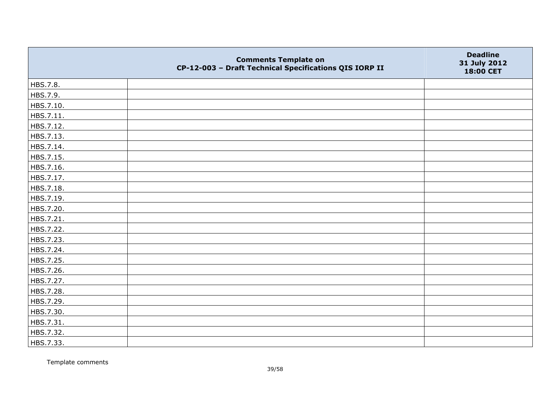|           | <b>Comments Template on</b><br>CP-12-003 - Draft Technical Specifications QIS IORP II | <b>Deadline</b><br>31 July 2012<br>18:00 CET |
|-----------|---------------------------------------------------------------------------------------|----------------------------------------------|
| HBS.7.8.  |                                                                                       |                                              |
| HBS.7.9.  |                                                                                       |                                              |
| HBS.7.10. |                                                                                       |                                              |
| HBS.7.11. |                                                                                       |                                              |
| HBS.7.12. |                                                                                       |                                              |
| HBS.7.13. |                                                                                       |                                              |
| HBS.7.14. |                                                                                       |                                              |
| HBS.7.15. |                                                                                       |                                              |
| HBS.7.16. |                                                                                       |                                              |
| HBS.7.17. |                                                                                       |                                              |
| HBS.7.18. |                                                                                       |                                              |
| HBS.7.19. |                                                                                       |                                              |
| HBS.7.20. |                                                                                       |                                              |
| HBS.7.21. |                                                                                       |                                              |
| HBS.7.22. |                                                                                       |                                              |
| HBS.7.23. |                                                                                       |                                              |
| HBS.7.24. |                                                                                       |                                              |
| HBS.7.25. |                                                                                       |                                              |
| HBS.7.26. |                                                                                       |                                              |
| HBS.7.27. |                                                                                       |                                              |
| HBS.7.28. |                                                                                       |                                              |
| HBS.7.29. |                                                                                       |                                              |
| HBS.7.30. |                                                                                       |                                              |
| HBS.7.31. |                                                                                       |                                              |
| HBS.7.32. |                                                                                       |                                              |
| HBS.7.33. |                                                                                       |                                              |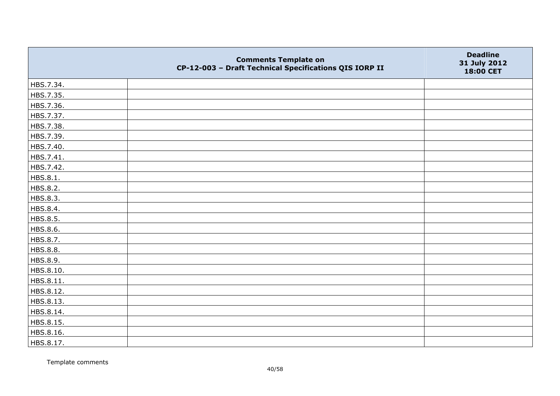|                 | <b>Comments Template on</b><br>CP-12-003 - Draft Technical Specifications QIS IORP II | <b>Deadline</b><br>31 July 2012<br>18:00 CET |
|-----------------|---------------------------------------------------------------------------------------|----------------------------------------------|
| HBS.7.34.       |                                                                                       |                                              |
| HBS.7.35.       |                                                                                       |                                              |
| HBS.7.36.       |                                                                                       |                                              |
| HBS.7.37.       |                                                                                       |                                              |
| HBS.7.38.       |                                                                                       |                                              |
| HBS.7.39.       |                                                                                       |                                              |
| HBS.7.40.       |                                                                                       |                                              |
| HBS.7.41.       |                                                                                       |                                              |
| HBS.7.42.       |                                                                                       |                                              |
| HBS.8.1.        |                                                                                       |                                              |
| HBS.8.2.        |                                                                                       |                                              |
| HBS.8.3.        |                                                                                       |                                              |
| HBS.8.4.        |                                                                                       |                                              |
| HBS.8.5.        |                                                                                       |                                              |
| HBS.8.6.        |                                                                                       |                                              |
| HBS.8.7.        |                                                                                       |                                              |
| <b>HBS.8.8.</b> |                                                                                       |                                              |
| HBS.8.9.        |                                                                                       |                                              |
| HBS.8.10.       |                                                                                       |                                              |
| HBS.8.11.       |                                                                                       |                                              |
| HBS.8.12.       |                                                                                       |                                              |
| HBS.8.13.       |                                                                                       |                                              |
| HBS.8.14.       |                                                                                       |                                              |
| HBS.8.15.       |                                                                                       |                                              |
| HBS.8.16.       |                                                                                       |                                              |
| HBS.8.17.       |                                                                                       |                                              |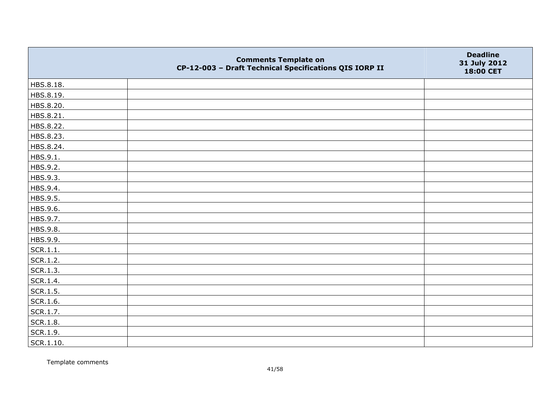|           | <b>Comments Template on</b><br>CP-12-003 - Draft Technical Specifications QIS IORP II | <b>Deadline</b><br>31 July 2012<br>18:00 CET |
|-----------|---------------------------------------------------------------------------------------|----------------------------------------------|
| HBS.8.18. |                                                                                       |                                              |
| HBS.8.19. |                                                                                       |                                              |
| HBS.8.20. |                                                                                       |                                              |
| HBS.8.21. |                                                                                       |                                              |
| HBS.8.22. |                                                                                       |                                              |
| HBS.8.23. |                                                                                       |                                              |
| HBS.8.24. |                                                                                       |                                              |
| HBS.9.1.  |                                                                                       |                                              |
| HBS.9.2.  |                                                                                       |                                              |
| HBS.9.3.  |                                                                                       |                                              |
| HBS.9.4.  |                                                                                       |                                              |
| HBS.9.5.  |                                                                                       |                                              |
| HBS.9.6.  |                                                                                       |                                              |
| HBS.9.7.  |                                                                                       |                                              |
| HBS.9.8.  |                                                                                       |                                              |
| HBS.9.9.  |                                                                                       |                                              |
| SCR.1.1.  |                                                                                       |                                              |
| SCR.1.2.  |                                                                                       |                                              |
| SCR.1.3.  |                                                                                       |                                              |
| SCR.1.4.  |                                                                                       |                                              |
| SCR.1.5.  |                                                                                       |                                              |
| SCR.1.6.  |                                                                                       |                                              |
| SCR.1.7.  |                                                                                       |                                              |
| SCR.1.8.  |                                                                                       |                                              |
| SCR.1.9.  |                                                                                       |                                              |
| SCR.1.10. |                                                                                       |                                              |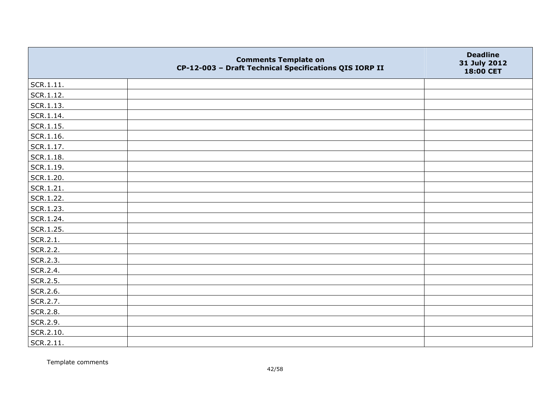|                   | <b>Comments Template on</b><br>CP-12-003 - Draft Technical Specifications QIS IORP II | <b>Deadline</b><br>31 July 2012<br>18:00 CET |
|-------------------|---------------------------------------------------------------------------------------|----------------------------------------------|
| $ $ SCR.1.11.     |                                                                                       |                                              |
| SCR.1.12.         |                                                                                       |                                              |
| SCR.1.13.         |                                                                                       |                                              |
| SCR.1.14.         |                                                                                       |                                              |
| SCR.1.15.         |                                                                                       |                                              |
| SCR.1.16.         |                                                                                       |                                              |
| $\vert$ SCR.1.17. |                                                                                       |                                              |
| SCR.1.18.         |                                                                                       |                                              |
| SCR.1.19.         |                                                                                       |                                              |
| SCR.1.20.         |                                                                                       |                                              |
| SCR.1.21.         |                                                                                       |                                              |
| SCR.1.22.         |                                                                                       |                                              |
| SCR.1.23.         |                                                                                       |                                              |
| SCR.1.24.         |                                                                                       |                                              |
| SCR.1.25.         |                                                                                       |                                              |
| SCR.2.1.          |                                                                                       |                                              |
| SCR.2.2.          |                                                                                       |                                              |
| SCR.2.3.          |                                                                                       |                                              |
| SCR.2.4.          |                                                                                       |                                              |
| SCR.2.5.          |                                                                                       |                                              |
| SCR.2.6.          |                                                                                       |                                              |
| SCR.2.7.          |                                                                                       |                                              |
| SCR.2.8.          |                                                                                       |                                              |
| SCR.2.9.          |                                                                                       |                                              |
| SCR.2.10.         |                                                                                       |                                              |
| SCR.2.11.         |                                                                                       |                                              |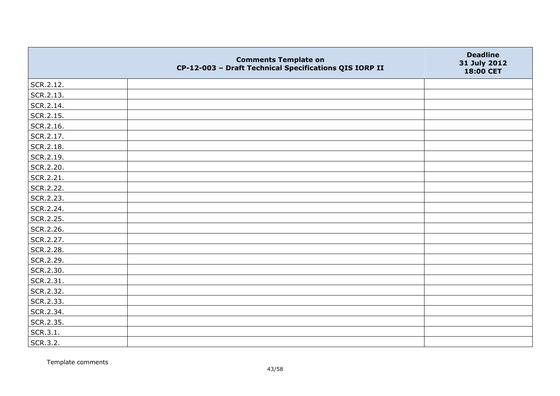|           | <b>Comments Template on</b><br>CP-12-003 - Draft Technical Specifications QIS IORP II | <b>Deadline</b><br>31 July 2012<br>18:00 CET |
|-----------|---------------------------------------------------------------------------------------|----------------------------------------------|
| SCR.2.12. |                                                                                       |                                              |
| SCR.2.13. |                                                                                       |                                              |
| SCR.2.14. |                                                                                       |                                              |
| SCR.2.15. |                                                                                       |                                              |
| SCR.2.16. |                                                                                       |                                              |
| SCR.2.17. |                                                                                       |                                              |
| SCR.2.18. |                                                                                       |                                              |
| SCR.2.19. |                                                                                       |                                              |
| SCR.2.20. |                                                                                       |                                              |
| SCR.2.21. |                                                                                       |                                              |
| SCR.2.22. |                                                                                       |                                              |
| SCR.2.23. |                                                                                       |                                              |
| SCR.2.24. |                                                                                       |                                              |
| SCR.2.25. |                                                                                       |                                              |
| SCR.2.26. |                                                                                       |                                              |
| SCR.2.27. |                                                                                       |                                              |
| SCR.2.28. |                                                                                       |                                              |
| SCR.2.29. |                                                                                       |                                              |
| SCR.2.30. |                                                                                       |                                              |
| SCR.2.31. |                                                                                       |                                              |
| SCR.2.32. |                                                                                       |                                              |
| SCR.2.33. |                                                                                       |                                              |
| SCR.2.34. |                                                                                       |                                              |
| SCR.2.35. |                                                                                       |                                              |
| SCR.3.1.  |                                                                                       |                                              |
| SCR.3.2.  |                                                                                       |                                              |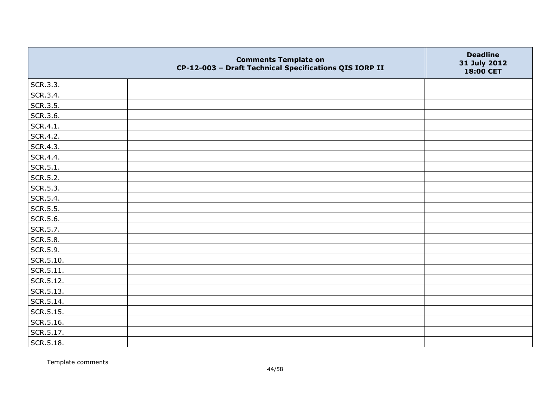|           | <b>Comments Template on</b><br>CP-12-003 - Draft Technical Specifications QIS IORP II | <b>Deadline</b><br>31 July 2012<br>18:00 CET |
|-----------|---------------------------------------------------------------------------------------|----------------------------------------------|
| SCR.3.3.  |                                                                                       |                                              |
| SCR.3.4.  |                                                                                       |                                              |
| SCR.3.5.  |                                                                                       |                                              |
| SCR.3.6.  |                                                                                       |                                              |
| SCR.4.1.  |                                                                                       |                                              |
| SCR.4.2.  |                                                                                       |                                              |
| SCR.4.3.  |                                                                                       |                                              |
| SCR.4.4.  |                                                                                       |                                              |
| SCR.5.1.  |                                                                                       |                                              |
| SCR.5.2.  |                                                                                       |                                              |
| SCR.5.3.  |                                                                                       |                                              |
| SCR.5.4.  |                                                                                       |                                              |
| SCR.5.5.  |                                                                                       |                                              |
| SCR.5.6.  |                                                                                       |                                              |
| SCR.5.7.  |                                                                                       |                                              |
| SCR.5.8.  |                                                                                       |                                              |
| SCR.5.9.  |                                                                                       |                                              |
| SCR.5.10. |                                                                                       |                                              |
| SCR.5.11. |                                                                                       |                                              |
| SCR.5.12. |                                                                                       |                                              |
| SCR.5.13. |                                                                                       |                                              |
| SCR.5.14. |                                                                                       |                                              |
| SCR.5.15. |                                                                                       |                                              |
| SCR.5.16. |                                                                                       |                                              |
| SCR.5.17. |                                                                                       |                                              |
| SCR.5.18. |                                                                                       |                                              |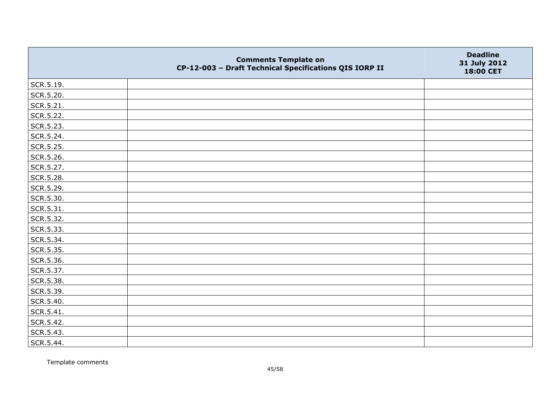|           | <b>Comments Template on</b><br>CP-12-003 - Draft Technical Specifications QIS IORP II | <b>Deadline</b><br>31 July 2012<br>18:00 CET |
|-----------|---------------------------------------------------------------------------------------|----------------------------------------------|
| SCR.5.19. |                                                                                       |                                              |
| SCR.5.20. |                                                                                       |                                              |
| SCR.5.21. |                                                                                       |                                              |
| SCR.5.22. |                                                                                       |                                              |
| SCR.5.23. |                                                                                       |                                              |
| SCR.5.24. |                                                                                       |                                              |
| SCR.5.25. |                                                                                       |                                              |
| SCR.5.26. |                                                                                       |                                              |
| SCR.5.27. |                                                                                       |                                              |
| SCR.5.28. |                                                                                       |                                              |
| SCR.5.29. |                                                                                       |                                              |
| SCR.5.30. |                                                                                       |                                              |
| SCR.5.31. |                                                                                       |                                              |
| SCR.5.32. |                                                                                       |                                              |
| SCR.5.33. |                                                                                       |                                              |
| SCR.5.34. |                                                                                       |                                              |
| SCR.5.35. |                                                                                       |                                              |
| SCR.5.36. |                                                                                       |                                              |
| SCR.5.37. |                                                                                       |                                              |
| SCR.5.38. |                                                                                       |                                              |
| SCR.5.39. |                                                                                       |                                              |
| SCR.5.40. |                                                                                       |                                              |
| SCR.5.41. |                                                                                       |                                              |
| SCR.5.42. |                                                                                       |                                              |
| SCR.5.43. |                                                                                       |                                              |
| SCR.5.44. |                                                                                       |                                              |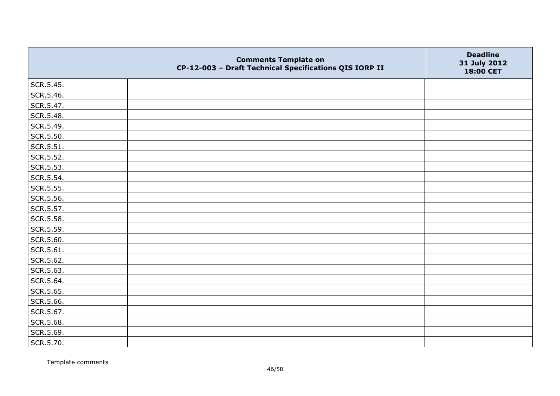|           | <b>Comments Template on</b><br>CP-12-003 - Draft Technical Specifications QIS IORP II | <b>Deadline</b><br>31 July 2012<br>18:00 CET |
|-----------|---------------------------------------------------------------------------------------|----------------------------------------------|
| SCR.5.45. |                                                                                       |                                              |
| SCR.5.46. |                                                                                       |                                              |
| SCR.5.47. |                                                                                       |                                              |
| SCR.5.48. |                                                                                       |                                              |
| SCR.5.49. |                                                                                       |                                              |
| SCR.5.50. |                                                                                       |                                              |
| SCR.5.51. |                                                                                       |                                              |
| SCR.5.52. |                                                                                       |                                              |
| SCR.5.53. |                                                                                       |                                              |
| SCR.5.54. |                                                                                       |                                              |
| SCR.5.55. |                                                                                       |                                              |
| SCR.5.56. |                                                                                       |                                              |
| SCR.5.57. |                                                                                       |                                              |
| SCR.5.58. |                                                                                       |                                              |
| SCR.5.59. |                                                                                       |                                              |
| SCR.5.60. |                                                                                       |                                              |
| SCR.5.61. |                                                                                       |                                              |
| SCR.5.62. |                                                                                       |                                              |
| SCR.5.63. |                                                                                       |                                              |
| SCR.5.64. |                                                                                       |                                              |
| SCR.5.65. |                                                                                       |                                              |
| SCR.5.66. |                                                                                       |                                              |
| SCR.5.67. |                                                                                       |                                              |
| SCR.5.68. |                                                                                       |                                              |
| SCR.5.69. |                                                                                       |                                              |
| SCR.5.70. |                                                                                       |                                              |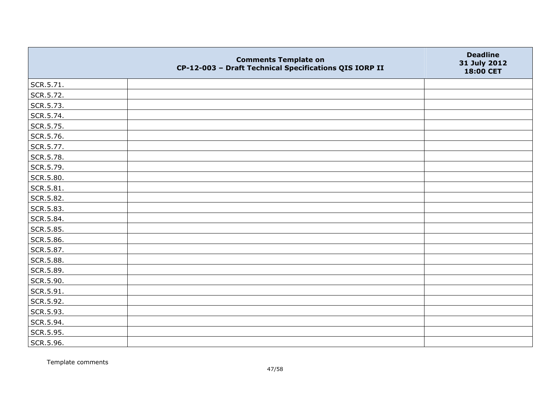|           | <b>Comments Template on</b><br>CP-12-003 - Draft Technical Specifications QIS IORP II | <b>Deadline</b><br>31 July 2012<br>18:00 CET |
|-----------|---------------------------------------------------------------------------------------|----------------------------------------------|
| SCR.5.71. |                                                                                       |                                              |
| SCR.5.72. |                                                                                       |                                              |
| SCR.5.73. |                                                                                       |                                              |
| SCR.5.74. |                                                                                       |                                              |
| SCR.5.75. |                                                                                       |                                              |
| SCR.5.76. |                                                                                       |                                              |
| SCR.5.77. |                                                                                       |                                              |
| SCR.5.78. |                                                                                       |                                              |
| SCR.5.79. |                                                                                       |                                              |
| SCR.5.80. |                                                                                       |                                              |
| SCR.5.81. |                                                                                       |                                              |
| SCR.5.82. |                                                                                       |                                              |
| SCR.5.83. |                                                                                       |                                              |
| SCR.5.84. |                                                                                       |                                              |
| SCR.5.85. |                                                                                       |                                              |
| SCR.5.86. |                                                                                       |                                              |
| SCR.5.87. |                                                                                       |                                              |
| SCR.5.88. |                                                                                       |                                              |
| SCR.5.89. |                                                                                       |                                              |
| SCR.5.90. |                                                                                       |                                              |
| SCR.5.91. |                                                                                       |                                              |
| SCR.5.92. |                                                                                       |                                              |
| SCR.5.93. |                                                                                       |                                              |
| SCR.5.94. |                                                                                       |                                              |
| SCR.5.95. |                                                                                       |                                              |
| SCR.5.96. |                                                                                       |                                              |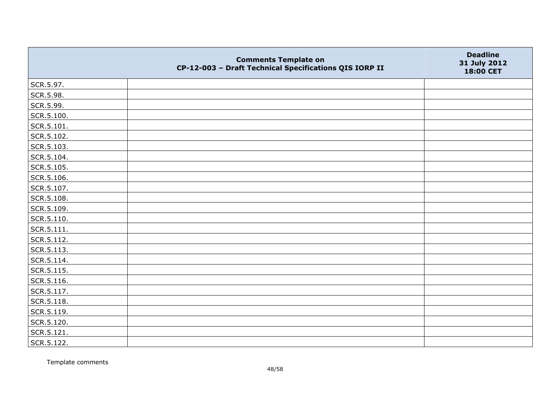|                | <b>Comments Template on</b><br>CP-12-003 - Draft Technical Specifications QIS IORP II | <b>Deadline</b><br>31 July 2012<br>18:00 CET |
|----------------|---------------------------------------------------------------------------------------|----------------------------------------------|
| SCR.5.97.      |                                                                                       |                                              |
| SCR.5.98.      |                                                                                       |                                              |
| SCR.5.99.      |                                                                                       |                                              |
| SCR.5.100.     |                                                                                       |                                              |
| SCR.5.101.     |                                                                                       |                                              |
| SCR.5.102.     |                                                                                       |                                              |
| SCR.5.103.     |                                                                                       |                                              |
| SCR.5.104.     |                                                                                       |                                              |
| SCR.5.105.     |                                                                                       |                                              |
| SCR.5.106.     |                                                                                       |                                              |
| SCR.5.107.     |                                                                                       |                                              |
| SCR.5.108.     |                                                                                       |                                              |
| SCR.5.109.     |                                                                                       |                                              |
| SCR.5.110.     |                                                                                       |                                              |
| $ $ SCR.5.111. |                                                                                       |                                              |
| SCR.5.112.     |                                                                                       |                                              |
| SCR.5.113.     |                                                                                       |                                              |
| SCR.5.114.     |                                                                                       |                                              |
| SCR.5.115.     |                                                                                       |                                              |
| SCR.5.116.     |                                                                                       |                                              |
| SCR.5.117.     |                                                                                       |                                              |
| SCR.5.118.     |                                                                                       |                                              |
| SCR.5.119.     |                                                                                       |                                              |
| SCR.5.120.     |                                                                                       |                                              |
| SCR.5.121.     |                                                                                       |                                              |
| SCR.5.122.     |                                                                                       |                                              |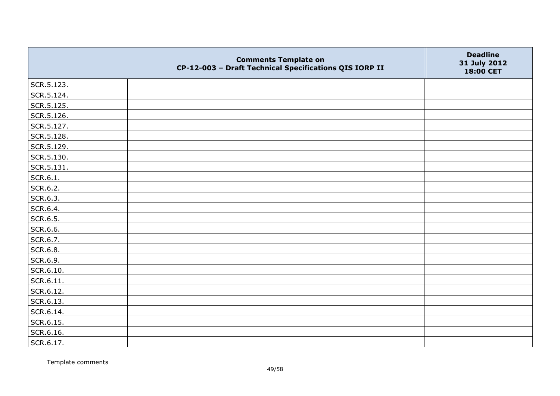|            | <b>Comments Template on</b><br>CP-12-003 - Draft Technical Specifications QIS IORP II | <b>Deadline</b><br>31 July 2012<br>18:00 CET |
|------------|---------------------------------------------------------------------------------------|----------------------------------------------|
| SCR.5.123. |                                                                                       |                                              |
| SCR.5.124. |                                                                                       |                                              |
| SCR.5.125. |                                                                                       |                                              |
| SCR.5.126. |                                                                                       |                                              |
| SCR.5.127. |                                                                                       |                                              |
| SCR.5.128. |                                                                                       |                                              |
| SCR.5.129. |                                                                                       |                                              |
| SCR.5.130. |                                                                                       |                                              |
| SCR.5.131. |                                                                                       |                                              |
| SCR.6.1.   |                                                                                       |                                              |
| SCR.6.2.   |                                                                                       |                                              |
| SCR.6.3.   |                                                                                       |                                              |
| SCR.6.4.   |                                                                                       |                                              |
| SCR.6.5.   |                                                                                       |                                              |
| SCR.6.6.   |                                                                                       |                                              |
| SCR.6.7.   |                                                                                       |                                              |
| SCR.6.8.   |                                                                                       |                                              |
| SCR.6.9.   |                                                                                       |                                              |
| SCR.6.10.  |                                                                                       |                                              |
| SCR.6.11.  |                                                                                       |                                              |
| SCR.6.12.  |                                                                                       |                                              |
| SCR.6.13.  |                                                                                       |                                              |
| SCR.6.14.  |                                                                                       |                                              |
| SCR.6.15.  |                                                                                       |                                              |
| SCR.6.16.  |                                                                                       |                                              |
| SCR.6.17.  |                                                                                       |                                              |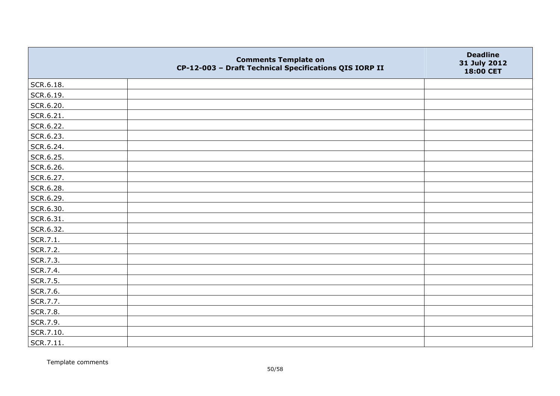|           | <b>Comments Template on</b><br>CP-12-003 - Draft Technical Specifications QIS IORP II | <b>Deadline</b><br>31 July 2012<br>18:00 CET |
|-----------|---------------------------------------------------------------------------------------|----------------------------------------------|
| SCR.6.18. |                                                                                       |                                              |
| SCR.6.19. |                                                                                       |                                              |
| SCR.6.20. |                                                                                       |                                              |
| SCR.6.21. |                                                                                       |                                              |
| SCR.6.22. |                                                                                       |                                              |
| SCR.6.23. |                                                                                       |                                              |
| SCR.6.24. |                                                                                       |                                              |
| SCR.6.25. |                                                                                       |                                              |
| SCR.6.26. |                                                                                       |                                              |
| SCR.6.27. |                                                                                       |                                              |
| SCR.6.28. |                                                                                       |                                              |
| SCR.6.29. |                                                                                       |                                              |
| SCR.6.30. |                                                                                       |                                              |
| SCR.6.31. |                                                                                       |                                              |
| SCR.6.32. |                                                                                       |                                              |
| SCR.7.1.  |                                                                                       |                                              |
| SCR.7.2.  |                                                                                       |                                              |
| SCR.7.3.  |                                                                                       |                                              |
| SCR.7.4.  |                                                                                       |                                              |
| SCR.7.5.  |                                                                                       |                                              |
| SCR.7.6.  |                                                                                       |                                              |
| SCR.7.7.  |                                                                                       |                                              |
| SCR.7.8.  |                                                                                       |                                              |
| SCR.7.9.  |                                                                                       |                                              |
| SCR.7.10. |                                                                                       |                                              |
| SCR.7.11. |                                                                                       |                                              |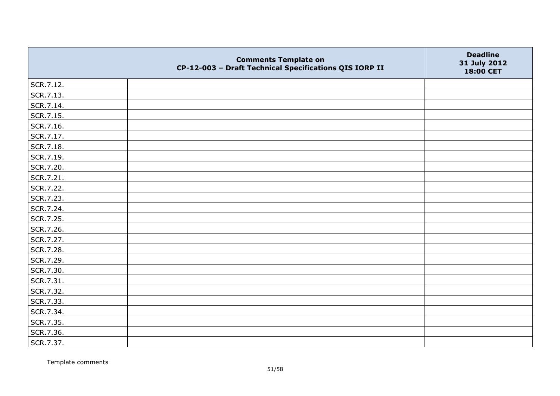|           | <b>Comments Template on</b><br>CP-12-003 - Draft Technical Specifications QIS IORP II | <b>Deadline</b><br>31 July 2012<br>18:00 CET |
|-----------|---------------------------------------------------------------------------------------|----------------------------------------------|
| SCR.7.12. |                                                                                       |                                              |
| SCR.7.13. |                                                                                       |                                              |
| SCR.7.14. |                                                                                       |                                              |
| SCR.7.15. |                                                                                       |                                              |
| SCR.7.16. |                                                                                       |                                              |
| SCR.7.17. |                                                                                       |                                              |
| SCR.7.18. |                                                                                       |                                              |
| SCR.7.19. |                                                                                       |                                              |
| SCR.7.20. |                                                                                       |                                              |
| SCR.7.21. |                                                                                       |                                              |
| SCR.7.22. |                                                                                       |                                              |
| SCR.7.23. |                                                                                       |                                              |
| SCR.7.24. |                                                                                       |                                              |
| SCR.7.25. |                                                                                       |                                              |
| SCR.7.26. |                                                                                       |                                              |
| SCR.7.27. |                                                                                       |                                              |
| SCR.7.28. |                                                                                       |                                              |
| SCR.7.29. |                                                                                       |                                              |
| SCR.7.30. |                                                                                       |                                              |
| SCR.7.31. |                                                                                       |                                              |
| SCR.7.32. |                                                                                       |                                              |
| SCR.7.33. |                                                                                       |                                              |
| SCR.7.34. |                                                                                       |                                              |
| SCR.7.35. |                                                                                       |                                              |
| SCR.7.36. |                                                                                       |                                              |
| SCR.7.37. |                                                                                       |                                              |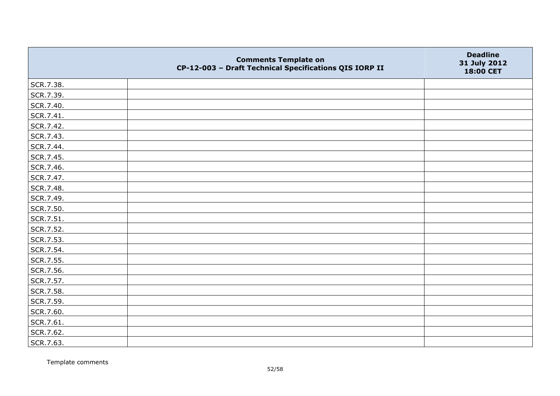|           | <b>Comments Template on</b><br>CP-12-003 - Draft Technical Specifications QIS IORP II | <b>Deadline</b><br>31 July 2012<br>18:00 CET |
|-----------|---------------------------------------------------------------------------------------|----------------------------------------------|
| SCR.7.38. |                                                                                       |                                              |
| SCR.7.39. |                                                                                       |                                              |
| SCR.7.40. |                                                                                       |                                              |
| SCR.7.41. |                                                                                       |                                              |
| SCR.7.42. |                                                                                       |                                              |
| SCR.7.43. |                                                                                       |                                              |
| SCR.7.44. |                                                                                       |                                              |
| SCR.7.45. |                                                                                       |                                              |
| SCR.7.46. |                                                                                       |                                              |
| SCR.7.47. |                                                                                       |                                              |
| SCR.7.48. |                                                                                       |                                              |
| SCR.7.49. |                                                                                       |                                              |
| SCR.7.50. |                                                                                       |                                              |
| SCR.7.51. |                                                                                       |                                              |
| SCR.7.52. |                                                                                       |                                              |
| SCR.7.53. |                                                                                       |                                              |
| SCR.7.54. |                                                                                       |                                              |
| SCR.7.55. |                                                                                       |                                              |
| SCR.7.56. |                                                                                       |                                              |
| SCR.7.57. |                                                                                       |                                              |
| SCR.7.58. |                                                                                       |                                              |
| SCR.7.59. |                                                                                       |                                              |
| SCR.7.60. |                                                                                       |                                              |
| SCR.7.61. |                                                                                       |                                              |
| SCR.7.62. |                                                                                       |                                              |
| SCR.7.63. |                                                                                       |                                              |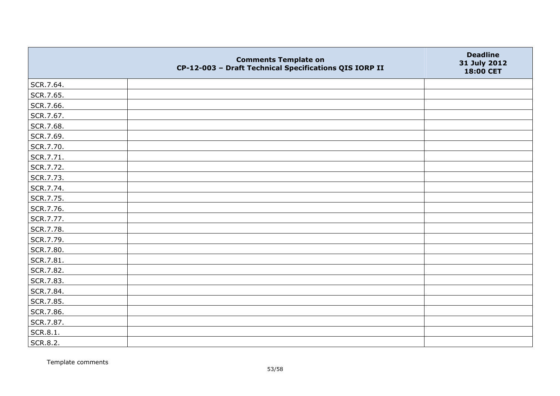|           | <b>Comments Template on</b><br>CP-12-003 - Draft Technical Specifications QIS IORP II | <b>Deadline</b><br>31 July 2012<br>18:00 CET |
|-----------|---------------------------------------------------------------------------------------|----------------------------------------------|
| SCR.7.64. |                                                                                       |                                              |
| SCR.7.65. |                                                                                       |                                              |
| SCR.7.66. |                                                                                       |                                              |
| SCR.7.67. |                                                                                       |                                              |
| SCR.7.68. |                                                                                       |                                              |
| SCR.7.69. |                                                                                       |                                              |
| SCR.7.70. |                                                                                       |                                              |
| SCR.7.71. |                                                                                       |                                              |
| SCR.7.72. |                                                                                       |                                              |
| SCR.7.73. |                                                                                       |                                              |
| SCR.7.74. |                                                                                       |                                              |
| SCR.7.75. |                                                                                       |                                              |
| SCR.7.76. |                                                                                       |                                              |
| SCR.7.77. |                                                                                       |                                              |
| SCR.7.78. |                                                                                       |                                              |
| SCR.7.79. |                                                                                       |                                              |
| SCR.7.80. |                                                                                       |                                              |
| SCR.7.81. |                                                                                       |                                              |
| SCR.7.82. |                                                                                       |                                              |
| SCR.7.83. |                                                                                       |                                              |
| SCR.7.84. |                                                                                       |                                              |
| SCR.7.85. |                                                                                       |                                              |
| SCR.7.86. |                                                                                       |                                              |
| SCR.7.87. |                                                                                       |                                              |
| SCR.8.1.  |                                                                                       |                                              |
| SCR.8.2.  |                                                                                       |                                              |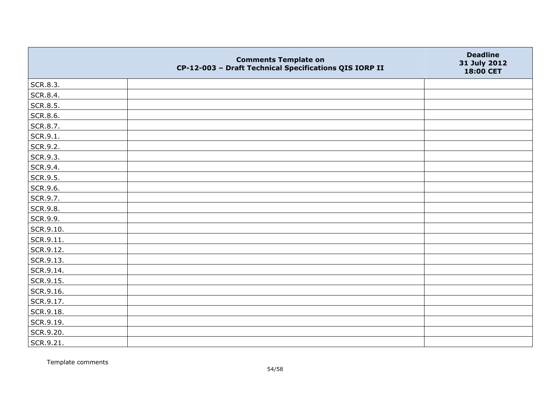|           | <b>Comments Template on</b><br>CP-12-003 - Draft Technical Specifications QIS IORP II | <b>Deadline</b><br>31 July 2012<br>18:00 CET |
|-----------|---------------------------------------------------------------------------------------|----------------------------------------------|
| SCR.8.3.  |                                                                                       |                                              |
| SCR.8.4.  |                                                                                       |                                              |
| SCR.8.5.  |                                                                                       |                                              |
| SCR.8.6.  |                                                                                       |                                              |
| SCR.8.7.  |                                                                                       |                                              |
| SCR.9.1.  |                                                                                       |                                              |
| SCR.9.2.  |                                                                                       |                                              |
| SCR.9.3.  |                                                                                       |                                              |
| SCR.9.4.  |                                                                                       |                                              |
| SCR.9.5.  |                                                                                       |                                              |
| SCR.9.6.  |                                                                                       |                                              |
| SCR.9.7.  |                                                                                       |                                              |
| SCR.9.8.  |                                                                                       |                                              |
| SCR.9.9.  |                                                                                       |                                              |
| SCR.9.10. |                                                                                       |                                              |
| SCR.9.11. |                                                                                       |                                              |
| SCR.9.12. |                                                                                       |                                              |
| SCR.9.13. |                                                                                       |                                              |
| SCR.9.14. |                                                                                       |                                              |
| SCR.9.15. |                                                                                       |                                              |
| SCR.9.16. |                                                                                       |                                              |
| SCR.9.17. |                                                                                       |                                              |
| SCR.9.18. |                                                                                       |                                              |
| SCR.9.19. |                                                                                       |                                              |
| SCR.9.20. |                                                                                       |                                              |
| SCR.9.21. |                                                                                       |                                              |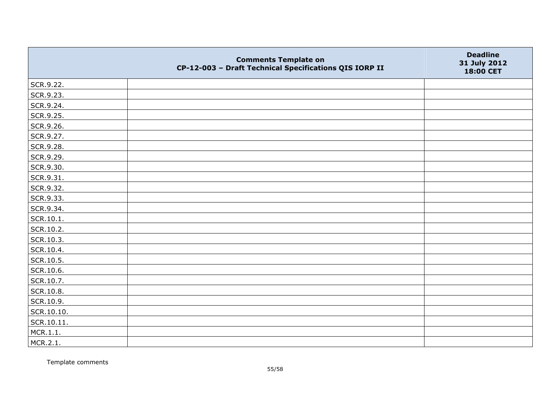|            | <b>Comments Template on</b><br>CP-12-003 - Draft Technical Specifications QIS IORP II | <b>Deadline</b><br>31 July 2012<br>18:00 CET |
|------------|---------------------------------------------------------------------------------------|----------------------------------------------|
| SCR.9.22.  |                                                                                       |                                              |
| SCR.9.23.  |                                                                                       |                                              |
| SCR.9.24.  |                                                                                       |                                              |
| SCR.9.25.  |                                                                                       |                                              |
| SCR.9.26.  |                                                                                       |                                              |
| SCR.9.27.  |                                                                                       |                                              |
| SCR.9.28.  |                                                                                       |                                              |
| SCR.9.29.  |                                                                                       |                                              |
| SCR.9.30.  |                                                                                       |                                              |
| SCR.9.31.  |                                                                                       |                                              |
| SCR.9.32.  |                                                                                       |                                              |
| SCR.9.33.  |                                                                                       |                                              |
| SCR.9.34.  |                                                                                       |                                              |
| SCR.10.1.  |                                                                                       |                                              |
| SCR.10.2.  |                                                                                       |                                              |
| SCR.10.3.  |                                                                                       |                                              |
| SCR.10.4.  |                                                                                       |                                              |
| SCR.10.5.  |                                                                                       |                                              |
| SCR.10.6.  |                                                                                       |                                              |
| SCR.10.7.  |                                                                                       |                                              |
| SCR.10.8.  |                                                                                       |                                              |
| SCR.10.9.  |                                                                                       |                                              |
| SCR.10.10. |                                                                                       |                                              |
| SCR.10.11. |                                                                                       |                                              |
| MCR.1.1.   |                                                                                       |                                              |
| MCR.2.1.   |                                                                                       |                                              |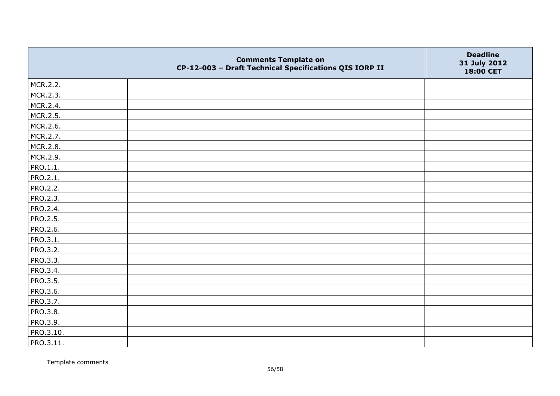|                 | <b>Comments Template on</b><br>CP-12-003 - Draft Technical Specifications QIS IORP II | <b>Deadline</b><br>31 July 2012<br>18:00 CET |
|-----------------|---------------------------------------------------------------------------------------|----------------------------------------------|
| MCR.2.2.        |                                                                                       |                                              |
| MCR.2.3.        |                                                                                       |                                              |
| MCR.2.4.        |                                                                                       |                                              |
| MCR.2.5.        |                                                                                       |                                              |
| MCR.2.6.        |                                                                                       |                                              |
| MCR.2.7.        |                                                                                       |                                              |
| MCR.2.8.        |                                                                                       |                                              |
| MCR.2.9.        |                                                                                       |                                              |
| PRO.1.1.        |                                                                                       |                                              |
| PRO.2.1.        |                                                                                       |                                              |
| <b>PRO.2.2.</b> |                                                                                       |                                              |
| <b>PRO.2.3.</b> |                                                                                       |                                              |
| PRO.2.4.        |                                                                                       |                                              |
| PRO.2.5.        |                                                                                       |                                              |
| PRO.2.6.        |                                                                                       |                                              |
| PRO.3.1.        |                                                                                       |                                              |
| PRO.3.2.        |                                                                                       |                                              |
| PRO.3.3.        |                                                                                       |                                              |
| PRO.3.4.        |                                                                                       |                                              |
| <b>PRO.3.5.</b> |                                                                                       |                                              |
| PRO.3.6.        |                                                                                       |                                              |
| PRO.3.7.        |                                                                                       |                                              |
| PRO.3.8.        |                                                                                       |                                              |
| PRO.3.9.        |                                                                                       |                                              |
| PRO.3.10.       |                                                                                       |                                              |
| PRO.3.11.       |                                                                                       |                                              |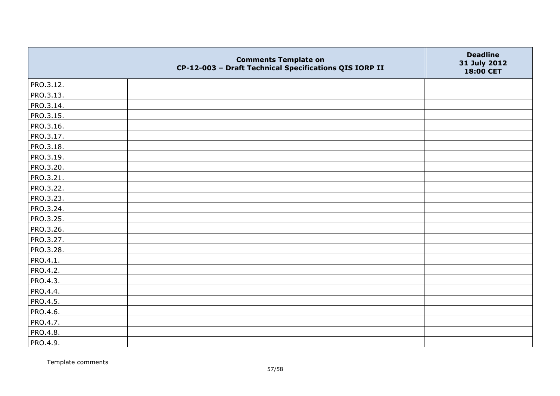|                 | <b>Comments Template on</b><br>CP-12-003 - Draft Technical Specifications QIS IORP II | <b>Deadline</b><br>31 July 2012<br>18:00 CET |
|-----------------|---------------------------------------------------------------------------------------|----------------------------------------------|
| PRO.3.12.       |                                                                                       |                                              |
| PRO.3.13.       |                                                                                       |                                              |
| PRO.3.14.       |                                                                                       |                                              |
| PRO.3.15.       |                                                                                       |                                              |
| PRO.3.16.       |                                                                                       |                                              |
| PRO.3.17.       |                                                                                       |                                              |
| PRO.3.18.       |                                                                                       |                                              |
| PRO.3.19.       |                                                                                       |                                              |
| PRO.3.20.       |                                                                                       |                                              |
| PRO.3.21.       |                                                                                       |                                              |
| PRO.3.22.       |                                                                                       |                                              |
| PRO.3.23.       |                                                                                       |                                              |
| PRO.3.24.       |                                                                                       |                                              |
| PRO.3.25.       |                                                                                       |                                              |
| PRO.3.26.       |                                                                                       |                                              |
| PRO.3.27.       |                                                                                       |                                              |
| PRO.3.28.       |                                                                                       |                                              |
| PRO.4.1.        |                                                                                       |                                              |
| PRO.4.2.        |                                                                                       |                                              |
| PRO.4.3.        |                                                                                       |                                              |
| PRO.4.4.        |                                                                                       |                                              |
| <b>PRO.4.5.</b> |                                                                                       |                                              |
| PRO.4.6.        |                                                                                       |                                              |
| PRO.4.7.        |                                                                                       |                                              |
| PRO.4.8.        |                                                                                       |                                              |
| PRO.4.9.        |                                                                                       |                                              |